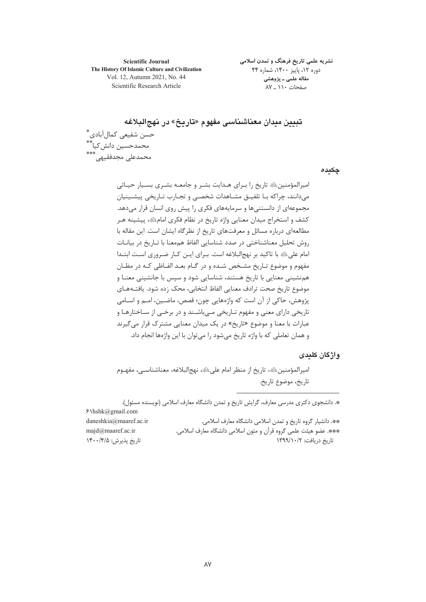**Scientific Journal** The History Of Islamic Culture and Civilization Vol. 12, Autumn 2021, No. 44 Scientific Research Article

نشریه علمی تاریخ فرهنگ و تمدن اسلامی دوره ١٢، پاییز ١۴٠٠، شماره ۴۴ مقاله علمی ـ پژوهشی صفحات ١١٠ \_ ٨٧

تبيين ميدان معناشيناسي مفهوم «تاريخ» در نهج البلاغه حسن شفيعي كمال آبادي\*ٌّ محمدحسين دانش كيا\*\* محمدعلی مجدفقیهی

چکیدہ

امپرالمؤمنین ﷺ تاریخ را بـرای هـدایت بشـر و جامعـه بشـری بسـیار حیـاتی میدانند، چراکه بـا تلفیــق مشـاهدات شخصــی و تجـارب تـاریخی پیشــینیان مجموعهای از دانستنی ها و سرمایههای فکری را پیش روی انسان قرار می دهد. کشف و استخراج میدان معنایی واژه تاریخ در نظام فکری امامﷺ، پیشینه هـر مطالعهای درباره مسائل و معرفتهای تاریخ از نظرگاه ایشان است. این مقاله با روش تحلیل معناشناختی در صدد شناسایی الفاظ هممعنا با تـاریخ در بیانــات امام علیﷺ با تاکید بر نهجالبلاغه است. بـرای ایـن کـار ضـروری اسـت ابتــدا مفهوم و موضوع تـاريخ مشـخص شـده و در گـام بعـد الفـاظي كـه در مظـان همنشینی معنایی با تاریخ هستند، شناسایی شود و سپس با جانشینی معنـا و موضوع تاريخ صحت ترادف معنايي الفاظ انتخابي، محک زده شود. يافتـههـاي يژوهش، حاكي از آن است كه واژههايي چون؛ قصص، ماضـين، امــم و اســامي تاریخی دارای معنی و مفهوم تـاریخی مــی،باشـند و در برخــی از سـاختارهـا و عبارات با معنا و موضوع «تاریخ» در یک میدان معنایی مشترک قرار م*ی گ*یرند و همان تعاملي كه با واژه تاريخ مي شود را مي توان با اين واژهها انجام داد.

#### واژگان کلیدی

اميرالمؤمنين، الله عنه الريخ از منظر امام على الله ، نهج البلاغه، معناشناسـي، مفهـوم تاريخ، موضوع تاريخ.

\*. دانشجوی دکتری مدرسی معارف، گرایش تاریخ و تمدن دانشگاه معارف اسلامی (نویسنده مسئول).

 $$\hbox{\rm\char'4m}$ hshk@gmail.com \*\*. دانشیار گروه تاریخ و تمدن اسلامی دانشگاه معارف اسلامی. daneshkia@maaref.ac.ir \*\*\*. عضو هيئت علمي گروه قرآن و متون اسلامي دانشگاه معارف اسلامي. majd@maaref.ac.ir تاريخ پذيرش: ١۴٠٠/۴/۵ تاریخ دریافت: ۱۳۹۹/۱۰/۲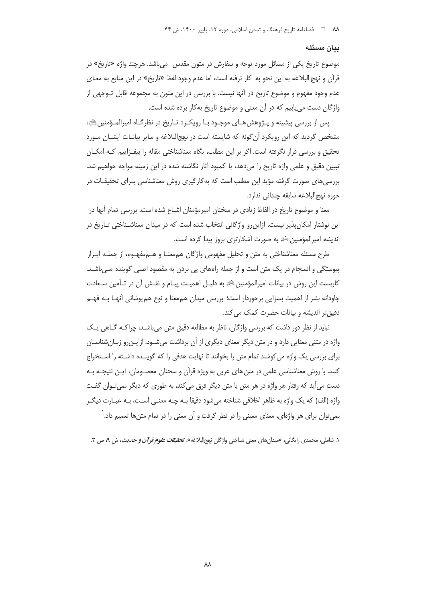#### ىيان مسئله

موضوع تاریخ یکی از مسائل مورد توجه و سفارش در متون مقدس میباشد. هرچند واژه «تاریخ» در قرآن و نهج البلاغه به این نحو به کار نرفته است، اما عدم وجود لفظ «تاریخ» در این منابع به معنای عدم وجود مفهوم و موضوع تاریخ در آنها نیست. با بررسی در این متون به مجموعه قابل تــوجهی از واژگان دست می پاییم که در آن معنی و موضوع تاریخ بهکار برده شده است.

يس از بررسي پيشينه و پـژوهش هـاي موجـود بـا رويكـرد تـاريخ در نظرگـاه اميرالمـؤمنين ﷺ، مشخص گردید که این رویکرد آن گونه که شایسته است در نهج|لبلاغه و سایر بیانـات ایشـان مـورد تحقیق و بررسی قرار نگرفته است. اگر بر این مطلب، نگاه معناشناختی مقاله را بیفـزاییم کـه امکـان تبیین دقیق و علمی واژه تاریخ را میدهد، با کمبود آثار نگاشته شده در این زمینه مواجه خواهیم شد. بررسی های صورت گرفته مؤید این مطلب است که به کارگیری روش معناشناسی بـرای تحقیقـات در حوزه نهج|لبلاغه سابقه چندانی ندارد.

معنا و موضوع تاریخ در الفاظ زیادی در سخنان امیرمؤمنان اشباع شده است. بررسی تمام آنها در این نوشتار امکان پذیر نیست. ازاین رو واژگانی انتخاب شده است که در میدان معناشـناختی تــاریخ در اندیشه امیرالمؤمنین ﷺ به صورت آشکارتری بروز پیدا کرده است.

طرح مسئله معناشناختی به متن و تحلیل مفهومی واژگان هم معنــا و هــم مفهــوم، از جملــه ابــزار پیوستگی و انسجام در یک متن است و از جمله راههای پی بردن به مقصود اصلی گوینده می باشـد. کاربست این روش در بیانات امیرالمؤمنین ﷺ به دلیـل اهمیـت پیـام و نقـش آن در تـأمین سـعادت جاودانه بشر از اهمیت بسزایی برخوردار است؛ بررسی میدان هم معنا و نوع هم پوشانی آنهـا بــه فهــم دقیق تر اندیشه و بیانات حضرت کمک می کند.

نباید از نظر دور داشت که بررسی واژگان، ناظر به مطالعه دقیق متن می باشد، چراکـه گــاهی یـک واژه در متنی معنایی دارد و در متن دیگر معنای دیگری از آن برداشت میشـود. ازایـن٫و زبـان٬شناسـان برای بررسی یک واژه می کوشند تمام متن را بخوانند تا نهایت هدفی را که گوینـده داشـته را اسـتخراج کنند. با روش معناشناسی علمی در متن های عربی به ویژه قرآن و سخنان معصـومان، ایـن نتیجـه بـه دست می آید که رفتار هر واژه در هر متن با متن دیگر فرق می کند، به طوری که دیگر نمی تـوان گفـت واژه (الف) که یک واژه به ظاهر اخلاقی شناخته می شود دقیقا بـه چـه معنـی اسـت، بـه عبـارت دیگـر نمی توان برای هر واژهای، معنای معینی را در نظر گرفت و آن معنی را در تمام متنها تعمیم داد. ٰ

۱. شاملی، محمدی رایگانی، «میدان های معنی شناختی واژگان نهجالبلاغه»، تحقی*قات علوم قرآن و حدیث*، ش A، ص ۳.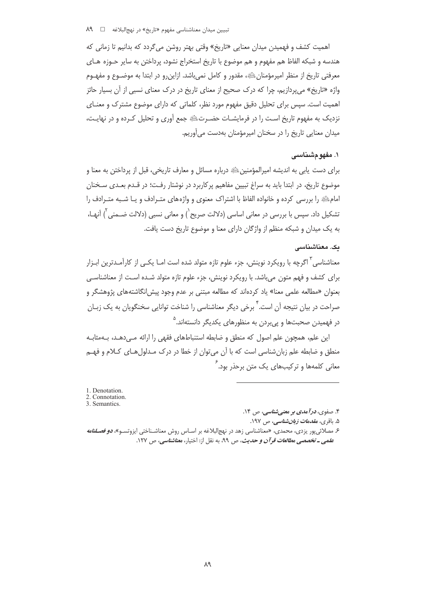اهميت كشف و فهميدن ميدان معنايي «تاريخ» وقتي بهتر روشن مي گردد كه بدانيم تا زماني كه هندسه و شبکه الفاظ هم مفهوم و هم موضوع با تاريخ استخراج نشود، پرداختن به ساير حـوزه هـاي معرفتي تاريخ از منظر اميرمؤمنانﷺ، مقدور و كامل نمي باشد. ازاين,رو در ابتدا به موضــوع و مفهــوم واژه «تاریخ» می پردازیم، چرا که درک صحیح از معنای تاریخ در درک معنای نسبی از آن بسیار حائز اهمیت است. سپس برای تحلیل دقیق مفهوم مورد نظر، کلماتی که دارای موضوع مشترک و معنـای نزدیک به مفهوم تاریخ است را در فرمایشـات حضـرتﷺ جمع آوری و تحلیل کـرده و در نهایـت، میدان معنایی تاریخ را در سخنان امیرمؤمنان بهدست می آوریم.

### ۱. مغهو مشناسی

برای دست پابی به اندیشه امپرالمؤمنین ﷺ درباره مسائل و معارف تاریخی، قبل از پرداختن به معنا و موضوع تاریخ، در ابتدا باید به سراغ تبیین مفاهیم پرکاربرد در نوشتار رفت؛ در قـدم بعـدی سـخنان امام ﷺ را بررسی کرده و خانواده الفاظ با اشتراک معنوی و واژههای متـرادف و یـا شـبه متـرادف را تشکیل داد. سپس با بررسی در معانی اساسی (دلالت صریح`) و معانی نسبی (دلالت ضـمنی ّ) آنهـا، به یک میدان و شبکه منظم از واژگان دارای معنا و موضوع تاریخ دست یافت.

#### ىك. معناشناسى

معناشناسی آ اگرچه با رویکرد نوینش، جزء علوم تازه متولد شده است امــا یکــی از کارآمــدترین ابــزار برای کشف و فهم متون می باشد. با رویکرد نوینش، جزء علوم تازه متولد شـده اسـت از معناشناسـی بعنوان «مطالعه علمی معنا» یاد کردهاند که مطالعه مبتنی بر عدم وجود پیش|نگاشتههای پژوهشگر و صراحت در بیان نتیجه آن است. <sup>۲</sup> برخی دیگر معناشناسی را شناخت توانایی سخنگویان به یک زبـان در فهمیدن صحبتها و پیِبردن به منظورهای یکدیگر دانستهاند.<sup>۵</sup>

این علم، همچون علم اصول که منطق و ضابطه استنباطهای فقهی را ارائه مـی دهـد، بـهمثابـه منطق و ضابطه علم زبان شناسی است که با آن میتوان از خطا در درک مـدلولهـای کـلام و فهـم معانی کلمهها و ترکیبهای یک متن برحذر بود. <sup>۲</sup>

<sup>1.</sup> Denotation.

<sup>2.</sup> Connotation. 3. Semantics.

۴. صفوی، *در آمدی بر معنی شناسی*، ص ۱۴.

۵. باقر*ى، مقدم<i>ات زبانشناسى، ص ۱۹*۷.

۶ مصلائ<sub>ی ب</sub>ور یزد*ی،* محمدی، «معناشناسی زهد در نهج|لبلاغه بر اسـاس روش معناشـناختی ایزوتسـو»، *دو فصـلنامه علمی ـ تخصصی مطالعات قرآن و حدیث*، ص ۹۹، به نقل از: اختیار، م*عناشناسی، ص ۱*۲۷.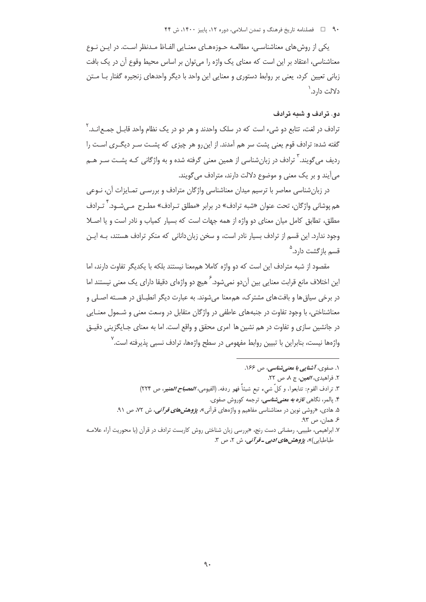۹۰ فصلنامه تاریخ فرهنگ و تمدن اسلامی، دوره ۱۲، پاییز ۱۴۰۰، ش ۴۴

یکی از روش های معناشناسی، مطالعـه حـوزههـای معنـایی الفـاظ مـدنظر اسـت. در ایـن نـوع معناشناسی، اعتقاد بر این است که معنای یک واژه را میتوان بر اساس محیط وقوع آن در یک بافت زبانی تعیین کرد، یعنی بر روابط دستوری و معنایی این واحد با دیگر واحدهای زنجیره گفتار بـا مـتن دلالت دارد. `

## دو. ترادف و شیه ترادف

ترادف در لغت، تتابع دو شيء است كه در سلک واحدند و هر دو در یک نظام واحد قابیل جمیع انید. آ گفته شده: ترادف قوم یعنی پشت سر هم آمدند. از این رو هر چیزی که پشـت سـر دیگـری اسـت را ردیف می گویند. ٰ ترادف در زبانِ شناسی از همین معنی گرفته شده و به واژگانی کـه پشـت سـر هــم می آیند و بر یک معنی و موضوع دلالت دارند، مترادف می گویند.

در زبانشناسی معاصر با ترسیم میدان معناشناسی واژگان مترادف و بررسـی تمـایزات آن، نـوعی هم پوشانی واژگان، تحت عنوان «شبه ترادف» در برابر «مطلق تـرادف» مطـرح مـی.شــود.<sup>۴</sup> تـرادف مطلق، تطابق كامل ميان معناى دو واژه از همه جهات است كه بسيار كمياب و نادر است و يا اصـلا وجود ندارد. این قسم از ترادف بسیار نادر است، و سخن زبان دانانی که منکر ترادف هستند، بـه ایـن قسم باز *گ*شت دا<sub>د</sub>د.<sup>۵</sup>

مقصود از شبه مترادف این است که دو واژه کاملا هممعنا نیستند بلکه با یکدیگر تفاوت دارند، اما این اختلاف مانع قرابت معنایی بین آندو نمی شود. ً هیچ دو واژهای دقیقا دارای یک معنی نیستند اما در برخی سیاق ها و بافت های مشترک، هم معنا می شوند. به عبارت دیگر انطبـاق در هسـته اصـلی و معناشناختی، با وجود تفاوت در جنبههای عاطفی در واژگان متقابل در وسعت معنی و شــمول معنــایی در جانشین سازی و تفاوت در هم نشین ها امری محقق و واقع است. اما به معنای جـایگزینی دقیــق واژهها نیست، بنابراین با تبیین روابط مفهومی در سطح واژهها، ترادف نسبی پذیرفته است.<sup>۷</sup>

۱. صفوی، *آشنایی با معنی شناسی*، ص ۱۶۶.

- ۲. فراهیدی، *العین*، ج ۸، ص ۲۲.
- ٣. ترادف القوم: تتابعوا، و كلُّ شيء تبع شيئاً فهو ردفه. (الفيومي، *المصباح المنيو*، ص ٢٢۴)
	- ۴. پالمر، نگاهی *تازه به معنے شناسی،* ترجمه کوروش صفوی.
- ۵. هادی، «روشی نوین در معناشناسی مفاهیم و واژههای قرآنی»، *پ<mark>ژوهشهای قرآنی</mark>،* ش ۷۲، ص ۹۱.
	- ۶ همان، ص ۹۳.
- ۷. ابراهیمی، طبیبی، رمضانی دست رنج، «بررسی زبان شناختی روش کاربست ترادف در قرآن (با محوریت آراء علامـه طباطبایی)»، پژوهشه*ای ادبی ـ قوآنی،* ش ۲، ص ۳.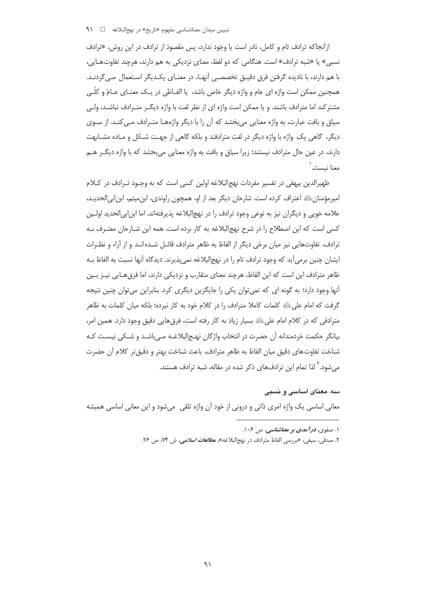ازآنجاکه ترادف تام و کامل، نادر است یا وجود ندارد، پس مقصود از ترادف در این روش، «ترادف نسبي» يا «شبه ترادف» است. هنگامي كه دو لفظ، معناي نزديكي به هم دارند، هرچند تفاوت هـايي، با هم دارند، با نادیده گرفتن فرق دقیـق تخصصـی آنهـا، در معنـای یکـدیگر اسـتعمال مـی٤ردنـد. همچنین ممکن است واژه ای عام و واژه دیگر خاص باشد، یا الفـاظی در یـک معنــای عــامّ و کلّــی مشترکند اما مترادف باشند. و یا ممکن است واژه ای از نظر لغت با واژه دیگـر متـرادف نباشـد، ولـی سیاق و بافت عبارت، به واژه معنایی می بخشد که آن را با دیگر واژههـا متـرادف مـی کنـد. از سـوی دیگر، گاهی یک واژه با واژه دیگر در لغت مترادفند و بلکه گاهی از جهت شکل و مـاده مشـابهت دارند، در عین حال مترادف نیستند؛ زیرا سیاق و بافت به واژه معنایی میبخشد که با واژه دیگـر هــم معنا نىست. `

ظهیرالدین بیهقی در تفسیر مفردات نهج|لبلاغه اولین کسی است که به وجــود تــرادف در کــلام امیرمؤمنان ﷺ اعتراف کرده است. شارحان دیگر بعد از او، همچون راوندی، ابنمیثم، ابن|بی|لحدیـد، علامه خويي و ديگران نيز به نوعي وجود ترادف را در نهج|لبلاغه پذيرفته|ند. اما ابن|بي|لحديد اولـين کسی است که این اصطلاح را در شرح نهج|لبلاغه به کار برده است. همه این شـارحان معتـرف بـه ترادف، تفاوتهایی نیز میان برخی دیگر از الفاظ به ظاهر مترادف قائـل شـدهانـد و از آراء و نظـرات ایشان چنین برمیآید که وجود ترادف تام را در نهج|لبلاغه نمیپذیرند. دیدگاه آنها نسبت به الفاظ بـه ظاهر مترادف این است که این الفاظ، هرچند معنای متقارب و نزدیکی دارند، اما فرق@ایی نیــز بــین آنها وجود دارد؛ به گونه ای که نمی توان یکی را جایگزین دیگری کرد. بنابراین می توان چنین نتیجه گرفت که امام علیﷺ کلمات کاملا مترادف را در کلام خود به کار نبرده؛ بلکه میان کلمات به ظاهر مترادفی که در کلام امام علیﷺ بسیار زیاد به کار رفته است، فرق هایی دقیق وجود دارد. همین امر، بیانگر حکمت خردمندانه آن حضرت در انتخاب واژگان نهـج|لبلاغـه مـی باشـد و شـکی نیسـت کـه شناخت تفاوتهاي دقيق ميان الفاظ به ظاهر مترادف، باعث شناخت بهتر و دقيق تر كلام آن حضرت مر شود. <sup>۱</sup> لذا تمام این ترادفهای ذکر شده در مقاله، شبه ترادف هستند.

سه. معنای اساسی و نسبی معانی اساسی یک واژه امری ذاتی و درونی از خود آن واژه تلقی میشود و این معانی اساسی همیشه

۲. صدقی، سیفی، «بررسی الفاظ مترادف در نهجالبلاغه»، م*طالعات اسلامی*، ش ۷۴، ص ۲۶.

۱. صفوی، در *آمدی ب*ر معناشناسی، ص ۱۰۶.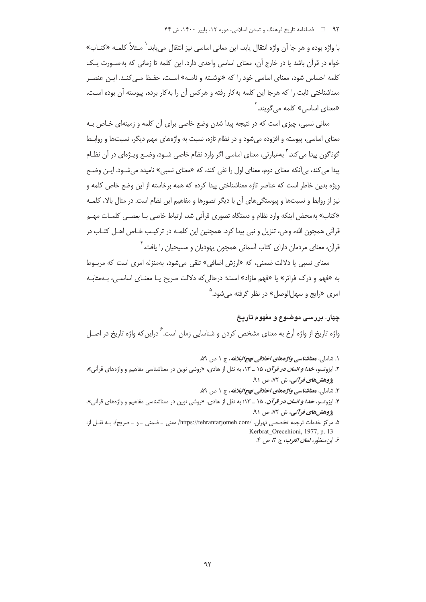با واژه بوده و هر جا آن واژه انتقال يابد، اين معاني اساسي نيز انتقال مي يابد.` مـثلاً كلمـه «كتــاب» خواه در قرآن باشد یا در خارج آن، معنای اساسی واحدی دارد. این کلمه تا زمانی که به صـورت یـک کلمه احساس شود، معنای اساسی خود را که «نوشـته و نامـه» اسـت، حفـظ مـی کنـد. ایـن عنصـر معناشناختی ثابت را که هرجا این کلمه بهکار رفته و هرکس آن را بهکار برده، پیوسته آن بوده اسـت، «معنای اساسی» کلمه می گویند.<sup>۲</sup>

معانی نسبی، چیزی است که در نتیجه پیدا شدن وضع خاصی برای آن کلمه و زمینهای خـاص بـه معنای اساسی، پیوسته و افزوده می شود و در نظام تازه، نسبت به واژههای مهم دیگر، نسبتها و روابـط گوناگون پيدا مي كند. <sup>۲</sup> بهعبارتي، معناي اساسي اگر وارد نظام خاصي شـود، وضـع ويـژهاي در آن نظـام · پیدا می کند، بی آنکه معنای دوم، معنای اول را نفی کند، که «معنای نسبی» نامیده می شـود. ایـن وضـع ویژه بدین خاطر است که عناصر تازه معناشناختی پیدا کرده که همه برخاسته از این وضع خاص کلمه و نیز از روابط و نسبتها و پیوستگیهای آن با دیگر تصورها و مفاهیم این نظام است. در مثال بالا، کلمـه «کتاب» بهمحض اینکه وارد نظام و دستگاه تصوری قرآنی شد، ارتباط خاصی بـا بعضـی کلمـات مهـم قرآنی همچون الله، وحی، تنزیل و نبی پیدا کرد. همچنین این کلمـه در ترکیـب خـاص اهــل کتـاب در قرآن، معنای مردمان دارای کتاب آسمانی همچون یهودیان و مسیحیان را یافت.<sup>۴</sup>

معنای نسبے و یا دلالت ضمنے ، که «ارزش اضافے » تلقی می شود، بهمنزله امری است که مربـوط به «فهم و درک فراتر» یا «فهم مازاد» است؛ درحالی که دلالت صریح یـا معنـای اساسـی، بـهمثابـه امري «رايج و سهل الوصل» در نظر گرفته مي شود.<sup>0</sup>

### چهار. بررسی موضوع و مفهوم تاریخ

واژه تاریخ از واژه أرخ به معنای مشخص کردن و شناسایی زمان است.<sup>۶</sup> دراین *ک*ه واژه تاریخ در اصـل

۱. شاملي، معن*اشناسي واژههاي اخلاقي نهج البلاغه*، ج ۱ ص ۵۹.

- ٣. شاملي، معن*اشناسي واژههاي اخلاقي نهج البلاغه*، ج ١ ص ۵۹.
- ۴. ایزوتسو، *خدا و انسان در قرآن*، ۱۵ \_ ۱۳؛ به نقل از هادی، «روشی نوین در معناشناسی مفاهیم و واژههای قرآنی»، يژوهش ه*اي قو آني*، ش ۷۲، ص ۹۱.

۵. مرکز خدمات ترجمه تخصصی تهران. /https://tehrantarjomeh.com/ معنی \_ ضمنی \_ و \_ صریح/، بـه نقــل از: Kerbrat Orecehioni, 1977, p. 13

۶. ابن منظور، *لسان العرب*، ج ۳، ص ۴.

۲. ایزوتسو، *خدا و انسان در قرآن*، ۱۵ \_ ۱۳، به نقل از هادی، «روشی نوین در معناشناسی مفاهیم و واژههای قرآنی»، يژوهش ه*اي قرآني،* ش ۷۲، ص ۹۱.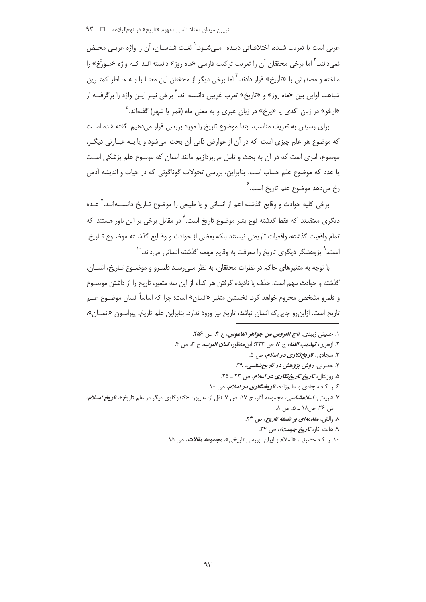عربي است يا تعريب شـده، اختلافـاتي ديـده مـي شـود. ٰ لغـت شناسـان، أن را واژه عربـي محـض نمی دانند. <sup>۲</sup> اما برخی محققان آن را تعریب ترکیب فارسی «ماه روز» دانسته انـد کـه واژه «مـورِّخ» را ساخته و مصدرش را «تأريخ» قرار دادند. <sup>۳</sup> اما برخي ديگر از محققان اين معنــا را بــه خــاطر كمتــرين شباهت آوایی بین «ماه روز» و «تاریخ» تعرب غریبی دانسته اند. <sup>۴</sup> برخی نیـز ایـن واژه را برگرفتـه از «ارخو» در زبان اکدی یا «یرخ» در زبان عبری و به معنی ماه (قمر یا شهر) گفتهاند.<sup>۵</sup>

برای رسیدن به تعریف مناسب، ابتدا موضوع تاریخ را مورد بررسی قرار میدهیم. گفته شده است كه موضوع هر علم چيزي است كه در آن از عوارض ذاتي آن بحث مي شود و يا بـه عبـارتي ديگـر، موضوع، امری است که در آن به بحث و تامل می پردازیم مانند انسان که موضوع علم پزشکی است یا عدد که موضوع علم حساب است. بنابراین، بررسی تحولات گوناگونی که در حیات و اندیشه آدمی رخ میدهد موضوع علم تاریخ است.<sup>۶</sup>

برخی کلیه حوادث و وقایع گذشته اعم از انسانی و یا طبیعی را موضوع تـاریخ دانســتهانــد.<sup>۷</sup> دیگری معتقدند که فقط گذشته نوع بشر موضوع تاریخ است.^در مقابل برخی بر این باور هستند که تمام واقعيت گذشته، واقعيات تاريخي نيستند بلكه بعضي از حوادث و وقـايع گذشــته موضــوع تــاريخ است.<sup>۹</sup> پژوهشگر دیگری تاریخ را معرفت به وقایع مهمه گذشته انسانی می داند.<sup>۱۰</sup>

با توجه به متغیرهای حاکم در نظرات محققان، به نظر مـی٫رسـد قلمـرو و موضـوع تـاریخ، انسـان، گذشته و حوادث مهم است. حذف یا نادیده گرفتن هر کدام از این سه متغیر، تاریخ را از داشتن موضــوع و قلمرو مشخص محروم خواهد کرد. نخستین متغیر «انسان» است؛ چرا که اساساً انسان موضـوع علــم تاريخ است. ازاين رو جايي كه انسان نباشد، تاريخ نيز ورود ندارد. بنابراين علم تاريخ، پيرامـون «انســان»،

- ١. حسيني زبيدي، ت*اج العروس من جواهر القاموس*، ج ۴، ص ٢۵۶.
- ٢. ازهري، ته*ذيب اللغة*، ج ٧، ص ٢٢٣؛ ابن منظور، *لسان العرب*، ج ٣، ص ۴.
	- ۳. سجادی، *تاریخ تگاری در اسلام، ص ۵.*
	- ۴. حضرتی، روش پژوهش در تاریخ شناسی، ۳۹.
	- ۵. <sub>(</sub>وزنتال، *تاریخ تاریخ تگاری در اسلام*، ص ۲۳ \_ ۲۵.
	- ۶ ٫. ک: سجادی و عالمزاده، *تاریختگاری در اسلام، ص ۱۰*.
- ۷. شریعتی، *اسلام شناسی*، مجموعه آثار، ج ۱۷، ص ۷. نقل از: علیپور، «کندوکاوی دیگر در علم تاریخ»، *تاریخ اسلام*، ش ۲۶، ص۱۸ ــ ۵. ص ۸.
	- ٨. والش، مقدمه/ي بو فلسفه تاريخ، ص ٢۴.
		- ۹. هالت کار، *تاریخ چیست؟*، ص ۳۴.
	- ۰۱۰ ر. ک: حضرتی، «اسلام و ایران؛ بررسی تاریخی»، م**جم***وعه مقالات، ص* **۱۵.**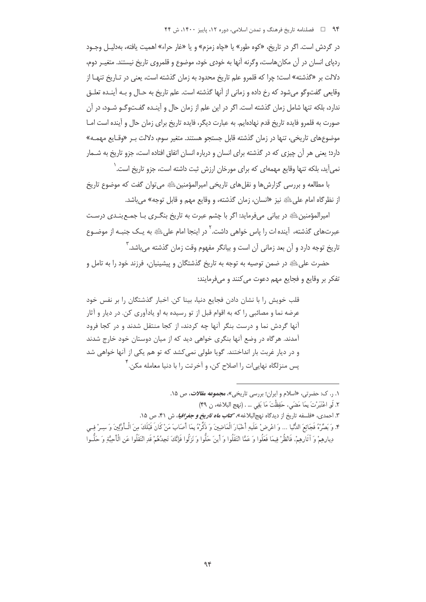در گردش است. اگر در تاریخ، «کوه طور» یا «چاه زمزم» و یا «غار حراء» اهمیت یافته، بهدلیـل وجـود ردیای انسان در آن مکانهاست، وگرنه آنها به خودی خود، موضوع و قلمروی تاریخ نیستند. متغیـر دوم، دلالت بر «گذشته» است؛ چرا که قلمرو علم تاریخ محدود به زمان گذشته است، یعنی در تـاریخ تنهـا از وقایعی گفتوگو می شود که رخ داده و زمانی از آنها گذشته است. علم تاریخ به حـال و بـه آینـده تعلـق ندارد، بلکه تنها شامل زمان گذشته است. اگر در این علم از زمان حال و آینـده گفـتوگـو شـود، در آن صورت به قلمرو فایده تاریخ قدم نهادهایم. به عبارت دیگر، فایده تاریخ برای زمان حال و آینده است امـا موضوع های تاریخی، تنها در زمان گذشته قابل جستجو هستند. متغیر سوم، دلالت بـر «وقـایع مهمـه» دارد؛ یعنی هر آن چیزی که در گذشته برای انسان و درباره انسان اتفاق افتاده است، جزو تاریخ به شــمار نمی]ید، بلکه تنها وقایع مهمهای که برای مورخان ارزش ثبت داشته است، جزو تاریخ است. ٰ

با مطالعه و بررسی گزارش ها و نقل های تاریخی امپرالمؤمنین ﷺ می توان گفت که موضوع تاریخ از نظر گاه امام علي ﷺ نيز «انسان، زمان گذشته، و وقايع مهم و قابل توجه» مي باشد.

امپرالمؤمنین ﷺ در بیانی میفرماید: اگر با چشم عبرت به تاریخ بنگـری بـا جمـع بنـدی درسـت عبرتهای گذشته، آینده ات را پاس خواهی داشت. <sup>۲</sup> در اینجا امام علیﷺ به یـک جنبـه از موضـوع .<br>تاریخ توجه دارد و اَن بعد زمانی اَن است و بیانگر مفهوم وقت زمان گذشته مے،باشد. <sup>۳</sup>

حضرت علیﷺ در ضمن توصیه به توجه به تاریخ گذشتگان و پیشینیان، فرزند خود را به تامل و تفکر پر وقایع و فجایع مهم دعوت می کنند و می فرمایند:

قلب خویش را با نشان دادن فجایع دنیا، بینا کن. اخبار گذشتگان را بر نفس خود عرضه نما و مصائبي ,ا كه به اقوام قبل از تو رسيده به او يادآوري كن. در ديار و آثار آنها گردش نما و درست بنگر آنها چه کردند، از کجا منتقل شدند و در کجا فرود آمدند. هر گاه در وضع آنها بنگری خواهی دید که از میان دوستان خود خارج شدند و در دیار غربت بار انداختند. گویا طولی نمی کشد که تو هم یکی از آنها خواهی شد یس منزلگاه نهاییات را اصلاح کن، و آخرتت را با دنیا معامله مکن. <sup>۲</sup>

- ۳. احمدي، «فلسفه تاريخ از ديدگاه نهجالبلاغه»، <del>كتاب م*اه تاريخ و جغرافيا*</del>، ش ۴۱، ص ۱۵.
- ۴. وَ يَصِّرُّهُ فَجَائِعَ الدُّنَّا ... وَ اعْرِضْ عَلَيه أَخْبَارَ الْمَاضِينَ وَ ذَكِّرْهُ بِمَا أَصَابَ مَنْ كَانَ قَبْلُكَ مِنَ الْبِأَوَّلِينَ وَ سبرْ فس ديادهمْ وَ آثَادِهمْ، فَانْظُرْ فيمَا فَعَلُوا وَ عَمَّا انْتَقَلُوا وَ أَينَ حَلُّوا وَ نَزَلُوا فَإِنَّكَ تَجِدُهُمْ قَد انْتَقَلُوا عَن الْأَحِبَّة وَ حَلُّـوا

٠. ر. ک: حضرتی، «اسلام و ایران؛ بررسی تاریخی»، مجموعه مق*لات*، ص ١۵.

٢. لَوِ اعْتَبَرْتَ بِمَا مَضَى، حَفِظْتَ مَا بَقِي … . (نهج البلاغه، ن ۴۹)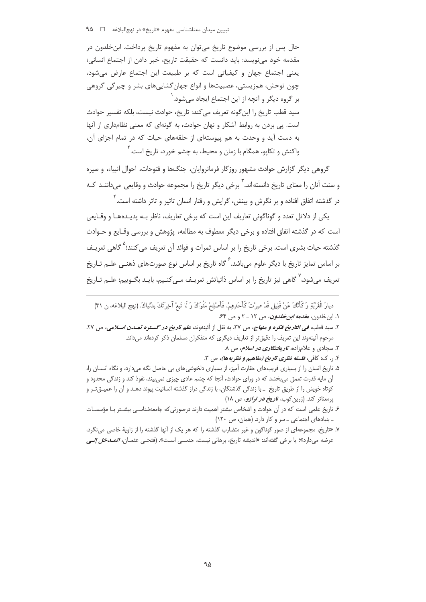حال پس از بررسی موضوع تاریخ می توان به مفهوم تاریخ پرداخت. ابن خلدون در مقدمه خود مے نویسد: باید دانست که حقیقت تاریخ، خبر دادن از اجتماع انسانی؛ یعنی اجتماع جهان و کیفیاتی است که بر طبیعت این اجتماع عارض می شود، چون توحش، همزیستی، عصبیتها و انواع جهان گشاییهای بشر و چیرگی گروهی بر گروه دیگر و آنچه از این اجتماع ایجاد میشود. ٰ سيد قطب تاريخ را اين گونه تعريف مي كند: تاريخ، حوادث نيست، بلكه تفسير حوادث است. یی بردن به روابط آشکار و نهان حوادث، به گونهای که معنی نظامداری از آنها به دست آید و وحدت به هم پیوستهای از حلقههای حیات که در تمام اجزای آن، واکنش و تکایو، همگام با زمان و محیط، به چشم خورد، تاریخ است. <sup>۲</sup>

گروهی دیگر گزارش حوادث مشهور روزگار فرمانروایان، جنگها و فتوحات، احوال انبیاء، و سیره و سنت آنان را معنای تاریخ دانستهاند. <sup>۳</sup> برخی دیگر تاریخ را مجموعه حوادث و وقایعی می داننـد کـه در گذشته اتفاق افتاده و بر نگرش و بینش، گرایش و رفتار انسان تاثیر و تاثر داشته است. <sup>۲</sup>

یکی از دلائل تعدد و گوناگونی تعاریف این است که برخی تعاریف، ناظر بـه پدیـدههـا و وقـایعی است که در گذشته اتفاق افتاده و برخی دیگر معطوف به مطالعه، پژوهش و بررسی وقـایع و حـوادث گذشته حیات بشری است. برخی تاریخ را بر اساس ثمرات و فوائد آن تعریف می کنند؛<sup>۵</sup> گاهی تعریـف بر اساس تمایز تاریخ با دیگر علوم می باشد.<sup>۶</sup> گاه تاریخ بر اساس نوع صورتهای ذهنـی علـم تـاریخ تعریف مے،شود،<sup>۷</sup> گاهی نیز تاریخ را بر اساس ذاتیاتش تعریـف مـی *کن*ـیم، بایـد بگـوییم: علــم تــاریخ

ديارَ الْغُرْبَةِ وَكَأَنَّكَ عَنْ قَلِيلٍ قَدْ صِرْتَ كَأَحَدِهِمْ. فَأَصْلِحْ مَتْوَاكَ وَ لَا تَبعْ آخِرَتَكَ بِدُنْياكَ. (نهج البلاغه، ن ٣١) ۱. ابن خلدون، *مقدمه ابن خلدون*، ص ۱۲ ـ ۲ و ص ۶۴.

- ٢. سيد قطب، *في التاريخ فكره و منهاج، ص ٣*٧، به نقل از آئينهوند، *علم تاريخ در گستره تمـدن اسـلامي*، ص ٢٧. مرحوم آئینهوند این تعریف را دقیق تر از تعاریف دیگری که متفکران مسلمان ذکر کردهاند می داند.
	- ۳. سجادی و علامزاده، *تاریختگاری در اسلام، ص ۸.*
	- ۴. ر. ک: کافي، فلسفه نظري تاريخ (مفاهيم و نظريهها)، ص ۳.
- ۵. تاریخ انسان را از بسیاری فریبهای حقارت آمیز، از بسیاری دلخوشی های بی حاصل نگه می دارد، و نگاه انســان را، آن مایه قدرت تعمق میبخشد که در ورای حوادث، آنجا که چشم عادی چیزی نمیبیند، نفوذ کند و زندگی محدود و کوتاه خویش را از طریق تاریخ \_ با زندگی گذشتگان، با زندگی دراز گذشته انسانیت پیوند دهـد و آن را عمیــق تـر و پرمعناتر کند. (زرین کوب، *تاریخ در ترازو، ص ۱*۸)
- ۶. تاریخ علمی است که در آن حوادث و اشخاص بیشتر اهمیت دارند درصورتی که جامعهشناسـی بیشـتر بـا مؤسسـات ـ بنیادهای اجتماعی ـ سر و کار دارد. (همان، ص ١٢٠)
- ۷. «تاریخ، مجموعهای از صور گوناگون و غیر متضارب گذشته را که هر یک از آنها گذشته را از زاویهٔ خاصی می نگرد، عرضه مىدارد»؛ يا برخي گفتهاند: «انديشه تاريخ، برهاني نيست، حدسـي اسـت». (فتحـي عثمــان، *المــــاخل إلــي*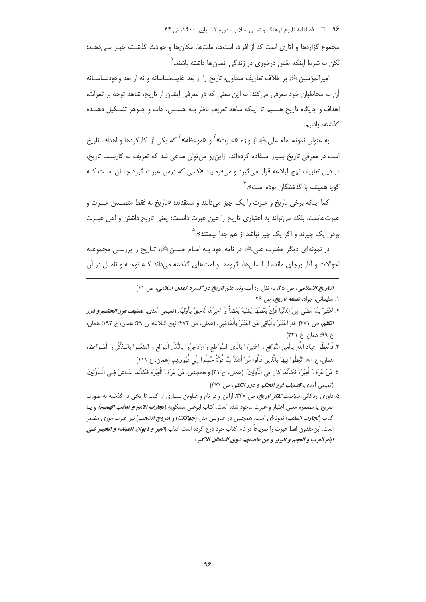۹۶ هـ استامه تاریخ فرهنگ و تمدن اسلامی، دوره ۱۲، پاییز ۱۴۰۰، ش ۴۴

مجموع گزارهها و آثاری است که از افراد، امتها، ملتها، مکانها و حوادث گذشـته خبـر مــ ردهــد؛ لکن به شرط اینکه نقش درخوری در زندگی انسانها داشته باشند.<sup>۱</sup>

اميرالمؤمنين ﷺ بر خلاف تعاريف متداول، تاريخ را از بُعد غايتشناسانه و نه از بعد وجودشناسـانه آن به مخاطبان خود معرفی می کند. به این معنی که در معرفی ایشان از تاریخ، شاهد توجه بر ثمرات، اهداف و جايگاه تاريخ هستيم تا اينكه شاهد تعريف ناظر بـه هسـتي، ذات و جـوهر تشـكيل دهنـده گذشته، ىاشىم.

به عنوان نمونه امام علىﷺ از واژه «عبرت» ٌ و «موعظه» ؓ که يکي از کارکردها و اهداف تاريخ است در معرفی تاریخ بسیار استفاده کردهاند، ازاینرو میتوان مدعی شد که تعریف به کاربست تاریخ، در ذیل تعاریف نهج البلاغه قرار میگیرد و میفرماید: «کسی که درس عبرت گیرد چنـان اسـت کـه گویا همیشه با گذشتگان بوده است».<sup>۴</sup>

كما اينكه برخي تاريخ و عبرت را يک چيز مي دانند و معتقدند: «تاريخ نه فقط متضـمن عبـرت و عبرتهاست، بلكه مي تواند به اعتباري تاريخ را عين عبرت دانست؛ يعني تاريخ داشتن و اهل عبـرت بودن يک چيزند و اگر يک چيز نباشد از هم جدا نيستند».<sup>۵</sup>

در نمونهای دیگر حضرت علیﷺ در نامه خود بـه امـام حسـنﷺ، تـاریخ را بررسـی مجموعـه احوالات و آثار برجای مانده از انسانها، گروهها و امتهای گذشته می داند کـه توجـه و تامـل در آن

> التاريخ الاسلامي، ص ٣٥، به نقل از: آيينهوند، علم تاريخ در گستره تمدن اسلامي، ص ١١) ۰۱. سلیمانی، جواد، *فلسفه تاریخ، ص ۲۶*.

- ٢. اعْتَبِرْ بِمَا مَضَى مِنَ الدُّنْيَا فَإِنَّ بَعْضَهَا يُشْبِهُ بَعْضاً وَ آخِرَهَا لَاحِقٌ بِأَوْلَهَا. (تمهم ٍ أمدى، **تص***نف غود الحكــم و در***ر الكلم،** ص ٣٧١)؛ قَدِ اعْتَبَرَ بِالْبَاقِي مَنِ اعْتَبَرَ بِالْمَاضِي. (همان، ص ٣٧٢؛ نهج البلاغه، ن ۴٩؛ همان، خ ١٩٢؛ همان، خ ۹۹؛ همان، خ ۲۲۱)
- ٣. فَاتَّعِظُوا عِبَادَ اللَّهِ بِالْعِبَرِ النَّوَافِعِ وَ اعْتَبِرُوا بِالْآى السَّوَاطِعِ وَ ازْدَجِرُوا بِالنُّذُر الْبَوَالِغِ وَ انْتَفِعُـوا بِالـذِّكْرِ وَ الْمَـوَاعِظِ، همان، خ ٨٠؛ اتَّعِظُوا فِيهَا بِالَّذِينَ قَالُوا مَنْ أَشَدُّ مِنَّا قُوَّةً حُمِلُوا إِلَى قُبُورهِم. (همان، خ ١١١)
- ٤. مَنْ عَرَفَ الْعِبْرَةَ فَكَأَنَّمَا كَانَ فِي الْأَوَّلِينَ. (همان، ح ٣١) و همچنين: مَنْ عَرَفَ الْعِبْرَةَ فَكَأَنَّمَا عَــاشَ فِـي الْـأَوَّلِينَ. (تميمي أمدي، تصنيف غرو الحكم و درو الكلم، ص ٣٧١)

۵. داوری اردکانی، *سی<i>است تفکر تاریخ،* ص ۳۴۷. ازاین رو در نام و عناوین بسیاری از کتب تاریخی در گذشته به صورت صريح يا مضمره معنى اعتبار و عبرت ماخوذ شده است. كتاب ابوعلى مسكويه (*تجارب الامم و تعاقب الهمــم)* و يــا کتاب (*تجارب السلف*) نمونهای است. همچنین در عناوینی مثل (*جهانگشا*) و (*مروج الذهب*) نیز عبرتآموزی مضمر است. ابن خلدون لفظ عبرت را صريحاً در نام كتاب خود درج كرده است كتاب (*العبر و ديوان المبتدء و الخبـر فــى* ايام العرب و العجم و البربر و من عاصمهم دوي السلطان الاكبر).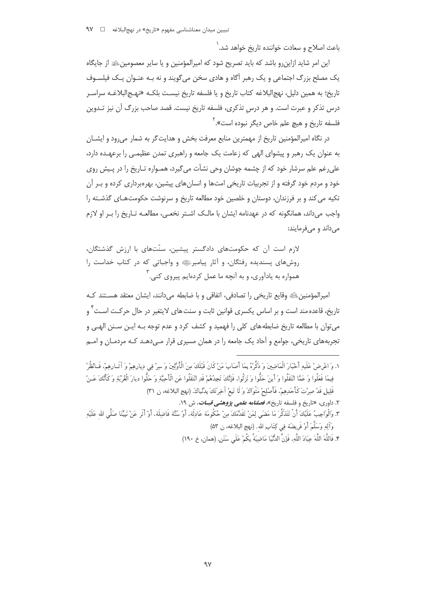باعث اصلاح و سعادت خواننده تاریخ خواهد شد.`

این امر شاید ازاین٫و باشد که باید تصریح شود که امپرالمؤمنین و یا سایر معصومینﷺ از جایگاه یک مصلح بزرگ اجتماعی و یک رهبر آگاه و هادی سخن می گویند و نه بـه عنـوان یـک فیلسـوف تاريخ؛ به همين دليل، نهج|لبلاغه كتاب تاريخ و يا فلسفه تاريخ نيسـت بلكـه «نهـج|لبلاغـه سراسـر درس تذکر و عبرت است. و هر درس تذکری، فلسفه تاریخ نیست. قصد صاحب بزرگ آن نیز تـدوین فلسفه تاریخ و هیچ علم خاص دیگر نبوده است».<sup>۲</sup>

در نگاه امیرالمؤمنین تاریخ از مهمترین منابع معرفت بخش و هدایت گر به شمار می رود و ایشــان به عنوان یک رهبر و پیشوای الهی که زعامت یک جامعه و راهبری تمدن عظیمـی را برعهـده دارد، علي رغم علم سرشار خود كه از چشمه جوشان وحي نشأت مي گيرد، همـواره تـاريخ را در پـيش روي خود و مردم خود گرفته و از تجربیات تاریخی امتها و انسانهای پیشین، بهرهبرداری کرده و بـر آن تکیه می کند و بر فرزندان، دوستان و خلصین خود مطالعه تاریخ و سرنوشت حکومتهای گذشته را واجب می داند، همانگونه که در عهدنامه ایشان با مالـک اشـتر نخعـی، مطالعـه تـاریخ را بـر او لازم می داند و می فرمایند:

لازم است آن که حکومتهای دادگستر پیشین، سنّتهای با ارزش گذشتگان، روشهای پسندیده رفتگان، و آثار پیامبرﷺ و واجباتی که در کتاب خداست را همواره به یادآوری، و به آنچه ما عمل کردهایم پیروی کنی. `

امیرالمؤمنین ﷺ وقایع تاریخی را تصادفی، اتفاقی و با ضابطه می دانند، ایشان معتقد هسـتند کـه تاریخ، قاعده مند است و بر اساس یکسری قوانین ثابت و سنت های لایتغیر در حال حرکـت اسـت<sup>۲</sup> و می توان با مطالعه تاریخ ضابطه های کلی را فهمید و کشف کرد و عدم توجه بـه ایـن سـنن الهـی و تجربههای تاریخی، جوامع و آحاد یک جامعه را در همان مسیری قرار مـیcهـد کـه مردمـان و امـم

- ١. وَ اعْرِضْ عَلَيهِ أَخْبَارَ الْمَاضِينَ وَ ذَكِّرْهُ بِمَا أَصَابَ مَنْ كَانَ قَبْلَكَ مِنَ الْأَوَّلِينَ وَ سِرْ فِي دِيارهِمْ وَ آتَـارهِمْ، فَـانْظُرْ فِيمَا فَعَلُوا وَ عَمَّا انْتَقَلُوا وَ أَينَ حَلُّوا وَ نَزِلُوا، فَإِنَّكَ تَجِدُهُمْ قَدِ انْتَقَلُوا عَنِ الْأَحِبَّةِ وَ حَلُّوا ديارَ الْغُرْبَةِ وَ كَأَنَّكَ عَـنْ قَلِيلِ قَدْ صرْتَ كَأَحَدهمْ، فَأَصْلِحْ مَثْوَاكَ وَ لَا تَبِعْ آخِرَ تَكَ بِدُنْياكَ. (نهج البلاغه، ن ٣١)
	- ۲. داوری، «تاریخ و فلسفه تاریخ»، *فصلنامه علمی پژوهشی قبسات، ش ۱۹.*
- ٣. وَالْوَاجِبُ عَلَيْكَ أَنْ تَتَذَكَّرَ مَا مَضَى لِمَنْ تَقَدَّمَكَ مِنْ حُكُومَة عَادِلَة، أَوْ سُنَّة فَاضِلَة، أَوْ أَثَر عَنْ نَبِيِّنَا صَلَّى الله عَلَيْهِ وَآلِهِ وَسَلَّمَ أَوْ فَرِيضَةٍ فِي كِتَابِ اللهِ. (نهج البلاغه، ن ٥٣)
	- ۴. فَاللَّهَ اللَّهَ عِبَادَ اللَّهِ، فَإِنَّ الدُّنِّيَا مَاضِيَةٌ بِكُمْ عَلَى سَنَنٍ. (همان، خ ١٩٠)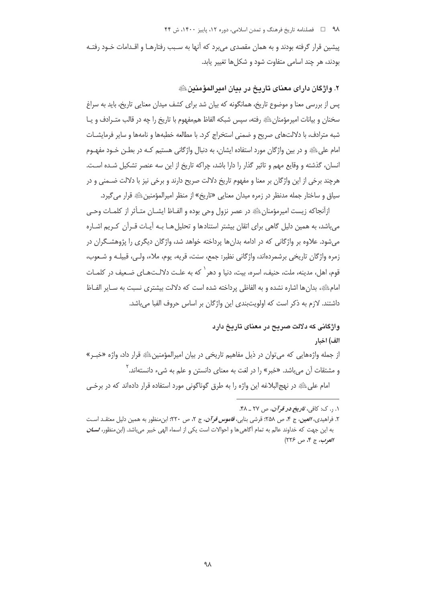۹۸ = □ فصلنامه تاریخ فرهنگ و تمدن اسلامی، دوره ۱۲، پاییز ۱۴۰۰، ش ۴۴

پیشین قرار گرفته بودند و به همان مقصدی می برد که آنها به سـبب رفتارهـا و اقــدامات خـود رفتــه بودند، هر چند اسامی متفاوت شود و شکلها تغییر یابد.

۲. واژگان دارای معنای تاریخ در بیان امیرالمؤمنین ﷺ

پس از بررسی معنا و موضوع تاریخ، همانگونه که بیان شد برای کشف میدان معنایی تاریخ، باید به سراغ سخنان و بيانات اميرمؤمنان ﷺ رفته، سيس شبكه الفاظ هم مفهوم با تاريخ را چه در قالب متـرادف و يـا شبه مترادف، با دلالتهای صریح و ضمنی استخراج کرد. با مطالعه خطبهها و نامهها و سایر فرمایشـات امام علیﷺ و در بین واژگان مورد استفاده ایشان، به دنبال واژگانی هستیم کـه در بطـن خـود مفهـوم انسان، گذشته و وقایع مهم و تاثیر گذار را دارا باشد، چراکه تاریخ از این سه عنصر تشکیل شـده اسـت. هرچند برخی از این واژگان بر معنا و مفهوم تاریخ دلالت صریح دارند و برخی نیز با دلالت ضـمنی و در سیاق و ساختار جمله مدنظر در زمره میدان معنایی «تاریخ» از منظر امیرالمؤمنینﷺ قرار میگیرد.

ازأنجاكه زيست اميرمؤمنانﷺ در عصر نزول وحي بوده و الفـاظ ايشــان متـأثر از كلمـات وحـي می باشد، به همین دلیل گاهی برای اتقان بیشتر استنادها و تحلیل هـا بـه آیـات قـرآن کـریم اشـاره میشود. علاوه بر واژگانی که در ادامه بدانها پرداخته خواهد شد، واژگان دیگری را پژوهشـگران در زمره واژگان تاريخي برشمردهاند، واژگاني نظير: جمع، سنت، قريه، يوم، ملاء، ولـي، قبيلـه و شـعوب، قوم، اهل، مدينه، ملت، حنيف، اسره، بيت، دنيا و دهر ` كه به علـت دلالــتـهـاي ضـعيف در كلمـات امام الله عنه الشاره باشده و به الفاظي پرداخته شده است كه دلالت بيشتري نسبت به سـاير الفــاظ داشتند. لازم به ذکر است که اولویتبندی این واژگان بر اساس حروف الفبا میباشد.

# واژگانی که دلالت صریح در معنای تاریخ دارد

الف) اخبار

از جمله واژههایی که میتوان در ذیل مفاهیم تاریخی در بیان امیرالمؤمنینﷺ قرار داد، واژه «خبـر» و مشتقات آن می باشد. «خبر» را در لغت به معنای دانستن و علم به شیء دانستهاند. <sup>۱</sup>

امام علی ﷺ در نهج|لبلاغه این واژه را به طرق گوناگونی مورد استفاده قرار دادهاند که در برخبی

۰۱ ر. ک: کافی، ت*اریخ در قوآن*، ص ۲۷ \_ ۴۸.

۲. فراهیدی، *العین، ج* ۴، ص ۲۵۸؛ قرشی بنابی، *قاموس قرآن*، ج ۲، ص ۲۲۰؛ ابن منظور به همین دلیل معتقـد اسـت به این جهت که خداوند عالم به تمام آگاهی ها و احوالات است یکی از اسماء الهی خبیر میباشد. (ابن منظور، *لسان* العرب، ج ۴، ص ۲۲۶)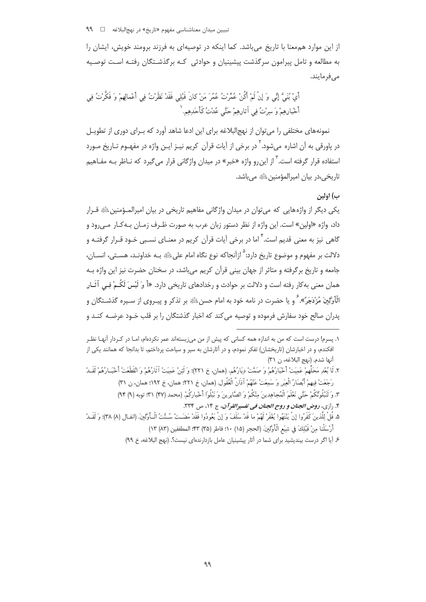از این موارد هم معنا با تاریخ می باشد. کما اینکه در توصیهای به فرزند برومند خویش، ایشان را به مطالعه و تامل پیرامون سرگذشت پیشینیان و حوادثی کـه برگذشـتگان رفتـه اسـت توصـیه مے فرمایند.

أَيْ بُنَيَّ إِنِّي وَ إِنْ لَمْ أَكُنْ عُمِّرْتُ عُمُرَ مَنْ كانَ قَبْلِي فَقَدْ نَظَرْتُ فِي أَعْمالِهِمْ وَ فَكَّرْتُ فِي أَخْبارِهِمْ وَ سِرْتُ فِي آثارِهِمْ حَتَّى عُدْتُ كَأَحَدِهِم. ١

نمونههای مختلفی را می توان از نهج|لبلاغه برای این ادعا شاهد آورد که بـرای دوری از تطویـل در یاورقی به آن اشاره می شود.<sup>۲</sup> در برخی از آیات قرآن کریم نیـز ایـن واژه در مفهـوم تـاریخ مـورد استفاده قرار گرفته است.<sup>۳</sup> از این رو واژه «خبر» در میدان واژگانی قرار می *گ*یرد که نـاظر بـه مفـاهیم تاريخي،در بيان اميرالمؤمنين ﷺ مي باشد.

### ب) اولين

يکي ديگر از واژههايي که مي توان در ميدان واژگاني مفاهيم تاريخي در بيان اميرالمـؤمنين،ﷺ قـرار داد، واژه «اولین» است. این واژه از نظر دستور زبان عرب به صورت ظـرف زمـان بـه *ک*ـار مـی,رود و گاهي نيز به معني قديم است.<sup>۴</sup> اما در برخي آيات قرآن کريم در معنـاي نسـبي خـود قـرار گرفتـه و دلالت بر مفهوم و موضوع تاریخ دارد:<sup>۵</sup> ازآنحاکه نوع نگاه امام علیﷺ بـه خداونـد، هسـتے، انســان، جامعه و تاریخ برگرفته و متاثر از جهان بینی قرآن کریم می باشد، در سخنان حضرت نیز این واژه پـه همان معنی به کار رفته است و دلالت بر حوادث و رخدادهای تاریخی دارد. «أَ وَ لَيْسَ لَكُـمْ فِـي آثَـارِ الْأَوَّلِينَ مُرْدَجَرٌ». ٛ و يا حضرت در نامه خود به امام حسنﷺ بر تذکر و پيــروي از سـيره گذشــتگان و پدران صالح خود سفارش فرموده و توصیه می کند که اخبار گذشتگان را بر قلب خـود عرضـه کنـد و

- ٢. لَا بُعْدِ مَحَلِّهِمْ عَمِيَتْ أَخْبَارُهُمْ وَ صَمَّتْ دِيَارُهُم. (همان، خ ٢٢١)؛ وَ لَئِنْ عَمِيَتْ آثَارُهُمْ وَ انْقَطَعَتْ أَخْبَـارُهُمْ لَقَـدْ رَجَعَتْ فِيهِمْ أَبْصَارُ الْعِبَرِ وَ سَمِعَتْ عَنْهُمْ آذَانُ الْعُقُولِ. (همان، خ ٢٢١؛ همان، خ ١٩٢؛ همان، ن ٣١)
	- ٣. وَ لَنَبْلُوَنَّكُمْ حَتَّى نَعْلَمَ الْمُجاهِدينَ مِنْكُمْ وَ الصَّابِرِينَ وَ نَبْلُوا أَخْباركُمْ. (محمد (۴۷) ٣١: توبه (٩) ٩۴)
		- ۴. رازي، روض الجنان و روح الجنان في تفسيرالقرآن، ج ١۴، ص ٣٣٣.
- ۵. قُلْ لِلّذينَ كَفَرُوا إِنْ يَنْتَهُوا يُغْفَرْ لَهُمْ ما قَدْ سَلَفَ وَ إِنْ يَعُودُوا فَقَدْ مَضَتْ سُـنَّتُ الْـأَوَّلِينَ. (انفـال (٨) ٣٨)؛ وَ لَقَــدْ أَرْسَلْنا مِنْ قَبْلِكَ فِي شِيَعِ الْأَوَّلِينَ. (الحجر (١٥) ١٠؛ فاطر (٣۵) ۴۳؛ المطففين (٨٣) ١٣)
	- ۶. آیا اگر درست بیندیشید برای شما در آثار پیشینیان عامل بازدارندهای نیست؟. (نهج البلاغه، خ ۹۹)

١. پسرم! درست است كه من به اندازه همه كسانى كه پيش از من مى;پستهاند عمر نكردهام، امــا در كــردار آنهــا نظــر افکندم، و در اخبارشان (تاریخشان) تفکر نمودم، و در آثارشان به سیر و سیاحت پرداختم، تا بدانجا که همانند یکی از آنها شدم. (نهج البلاغه، ن ٣١)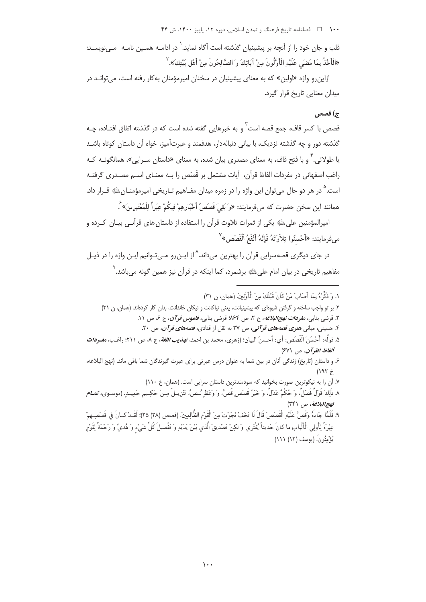۱۰۰ هـ اقصلنامه تاریخ فرهنگ و تمدن اسلامی، دوره ۱۲، پاییز ۱۴۰۰، ش ۴۴

قلب و جان خود را از آنچه بر پیشینیان گذشته است آگاه نماید. ` در ادامــه همـین نامــه مــی;ویســد: «الْأَخْذُ بِمَا مَضَى عَلَيْهِ الْأَوَّلُونَ مِنْ آبَائِكَ وَ الصَّالِحُونَ مِنْ أَهْلِ بَيْتِكَ». ``

ازاین و واژه «اولین» که به معنای پیشینیان در سخنان امیرمؤمنان بهکار رفته است، می *ت*وانــد در میدان معنایی تاریخ قرار گیرد.

## ج) قصص

قصص با کسر قاف، جمع قصه است <sup>۳</sup> و به خبرهایی گفته شده است که در گذشته اتفاق افتـاده، چـه گذشته دور و چه گذشته نزدیک، با بیانی دنبالهدار، هدفمند و عبرتآمیز، خواه آن داستان کوتاه باشـد یا طولانی. <sup>۱</sup> و با فتح قاف، به معنای مصدری بیان شده، به معنای «داستان سـرایی»، همانگونـه کـه راغب اصفهانی در مفردات الفاظ قرآن، آیات مشتمل بر قَصَص را بـه معنـای اسـم مصـدری گرفتـه است.<sup>۵</sup> در هر دو حال می¤وان این واژه را در زمره میدان مفـاهیم تـاریخی امیرمؤمنــانﷺ قــرار داد. همانند اين سخن حضرت كه مي فرمايند: «وَ بَقِيَ قَصَصُ أَخْبَارِهِمْ فِيكُمْ عِبَراً لِلْمُعْتَبِرِينَ» ۚ.

امپرالمؤمنین علیﷺ یکی از ثمرات تلاوت قرآن را استفاده از داستان های قرآنـی بیـان کـرده و مىفرمايند: «أَحْسنُوا تِلاَوَتَهُ فَإِنَّهُ أَنْفَعُ اَلْقَصَصِ» ``

در جای دیگری قصهسرایی قرآن را بهترین میداند.<sup>^</sup> از ایـن٫رو مـیتـوانیم ایـن واژه را در ذیـل مفاهیم تاریخی در بیان امام علیﷺ برشمرد، کما اینکه در قرآن نیز همین گونه میباشد.<sup>۹</sup>

١. وَ ذَكِّرْهُ بِمَا أَصَابَ مَنْ كَانَ قَبْلَكَ مِنَ الْأَوَّلَينَ. (همان، ن ٣١) ۲. بر تو واجب ساخته و گرفتن شیوهای که پیشینیانت، یعنی نیاکانت و نیکان خاندانت، بدان کار کردهاند. (همان، ن ۳۱) ٣. قرشي بنابي، م*فودات نهج البلاغه*، ج ٢، ص ۶۴%؛ قرشي بنابي، ق*اموس قرآن*، ج ع، ص ١١. ۴. حسینی، مبانی هنری قصهه*ای قو آنی*، ص ۳۷ به نقل از قنادی، قصههای قو*آن*، ص ۲۰. ۵. قولُه: أَحْسَنَ الْقَصَصِ: أي: أحسنَ البيان؛ (زهري، محمد بن احمد، *تهذيب اللغة*، ج ٨، ص ٢١١؛ راغب، م*فــردات* ألفاظ القرآن، ص ۶۷۱) ۶ و داستان (تاریخ) زندگی آنان در بین شما به عنوان درس عبرتی برای عبرت گیرندگان شما باقی ماند. (نهج البلاغه، خ ۱۹۲) ۷. آن را به نیکوترین صورت بخوانید که سودمندترین داستان سرایی است. (همان، خ ۱۱۰) ٨. ذَٰلِكَ قَوْلَ فَصْلَ. وَ حُكْمٌ عَدْلَ. وَ خَيْرُ قَصَصٍ قَصٌّ. وَ وَعْظٍ نُـصٌّ. تَنْزِيــلُ مِـنْ حَكِـيمٍ حَمِيــدٍ. (موســوى، تمـــ*ام* نهج البلاغة، ص ٣٣١) ٩. فَلَمَّا جَاءَهُ وَقَصَّ عَلَيْهِ الْقَصَصَ قَالَ لَا تَخَفْ نَجَوْتَ مِنَ الْقَوْمِ الظَّالِمِينَ. (قصص (٢٨) ٢۵)؛ لَقَـدْ كــانَ في قَصَصِــهِمْ عِبْرَةً لِأُولِي الْأَلْبابِ ما كانَ حَديثاً يُفْتَري وَ لكِنْ تَصْديقَ الَّذي بَيْنَ يَدَيْهِ وَ تَفْصيلَ كُلِّ شَيْءٍ وَ هُديً وَ رَحْمَةً لِقَوْمٍ يُؤْمِنُو نَ. (يوسف (١٢) ١١١)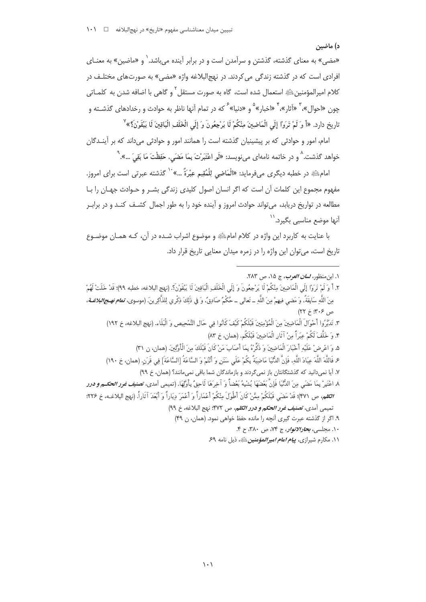### د) ماضین

«مضی» به معنای گذشته، گذشتن و سرآمدن است و در برابر آینده میباشد.<sup>\</sup> و «ماضین» به معنـای افرادي است كه در گذشته زندگي مي كردند. در نهج|لبلاغه واژه «مضي» به صورتهاي مختلـف در كلام اميرالمؤمنينﷺ استعمال شده است، گاه به صورت مستقل <sup>7</sup> و گاهي با اضافه شدن به كلمــاتي چون «احوال»، ۳ «آثار»، ۴ «اخبار»<sup>۵</sup> و «دنیا» <sup>۶</sup> که در تمام آنها ناظر به حوادث و رخدادهای گذشــته و تاريخ دارد. «أَ وَ لَمْ تَرَوْا إِلَى الْمَاضِينَ مِنْكُمْ لَا يَرْجِعُونَ وَ إِلَى الْخَلَفِ الْبَاقِينَ لَا يَبْقَوْنَ؟» ْ

امام، امور و حوادثی که بر پیشینیان گذشته است را همانند امور و حوادثی می داند که بر آینـدگان خواهد گذشت.<sup>۸</sup> و در خاتمه نامهای میiویسد: «لَو اعْتَبَرْتَ بِمَا مَضَی، حَفِظْتَ مَا بَقِیَ …».<sup>۹</sup>

امامﷺ در خطبه دیگری میفرماید: «الْمَاضِي لِلْمُقِيمِ عِبْرَةٌ …» `` گذشته عبرتی است برای امروز. مفهوم مجموع این کلمات آن است که اگر انسان اصول کلیدی زندگی بشـر و حـوادث جهـان را بـا مطالعه در تواریخ دریابد، میتواند حوادث امروز و آینده خود را به طور اجمال کشـف کنـد و در برابـر ۔<br>آنها موضع مناسبے<sub>،</sub> بگیرد.<sup>\\</sup>

با عنایت به کاربرد این واژه در کلام امامﷺ و موضوع اشراب شـده در آن، کـه همـان موضـوع تاریخ است، می توان این واژه را در زمره میدان معنایی تاریخ قرار داد.

- ١. ابن منظور، *لسان العرب*، ج ١٥، ص ٢٨٣.
- ٢. أَ وَ لَمْ تَرَوْا إِلَى الْمَاضِينَ مِنْكُمْ لَا يَرْجِعُونَ وَ إِلَى الْخَلَفِ الْبَاقِينَ لَا يَبْقَوْنَ؟. (نهج البلاغه، خطبه ٩٩)؛ قَدْ خَلَتْ لَهُمْ مِنَ اللَّهِ سَابِقَةً، وَ مَضى فيهمْ مِنَ اللَّهِ \_ تَعالى \_ حُكْمٌ صَادِقٌ، وَ فِي ذَلِكَ ذِكْرِي لِلذَّاكِرِينَ. (موسوى، تم*ام نهـج/لبلاغــة*،  $(55.5.97)$ 
	- ٣. تَدَبَّرُوا أَحْوَالَ الْمَاضِينَ مِنَ الْمُؤْمِنِينَ قَبْلَكُمْ كَيْفَ كَانُوا فِي حَالِ التَّمْحِيص وَ الْبَلَاء. (نهج البلاغه، خ ١٩٢) ۴. وَ خَلَّفَ لَكُمْ عِبَراً مِنْ آثَارِ الْمَاضِينَ قَبْلَكُم. (همان، خ ۸۳)
		- ۵. وَ اعْرِضْ عَلَيْهِ أَخْبَارَ الْمَاضِينَ وَ ذَكِّرْهُ بِمَا أَصَابَ مَنْ كَانَ قَبْلَكَ مِنَ الْأَوَّلِينَ. (همان، ن ٣١)
		- ع فَاللَّهَ اللَّهَ عِبَادَ اللَّهِ، فَإِنَّ الدُّنَّيَا مَاضِيَةٌ بِكُمْ عَلَى سَنَنٍ وَ أَنْتُمْ وَ السَّاعَةُ [السَّاعَةَ] فِي قَرَنِ. (همان، خ ١٩٠)
			- ٧. آیا نمیدانید که گذشتگانتان باز نمی گردند و بازماندگان شما باقی نمیمانند؟ (همان، خ ٩٩)

٨. اعْتَبِرْ بِمَا مَضَى مِنَ الدُّنْيَا فَإِنَّ بَعْضَهَا يُشْبِهُ بَعْضاً وَ آخِرَهَا لَاحِقٌ بِأَوَّلِهَا. (تميمي أمدى، ت**صني***ف غرر الحكـم و درر* **الكلم،** ص ٣٧١)؛ قَدْ مَضَى قَبْلَكُمْ مِمَّنْ كَانَ أَطْوِلَ مِنْكُمْ أَعْمَاراً وَ أَعْمَرَ دِيَاراً وَ أَبْعَدَ آثَاراً. (نهج البلاغـه، خ ٢٢۶؛ تميمي آمدي، *تصنيف غرر الحكم و درر الكلم*، ص ۴۷۲: نهج البلاغه، خ ٩٩)

- ۹. اگر از گذشته عبرت گیری آنچه را مانده حفظ خواهی نمود. (همان، ن ۴۹)
	- ۱۰. مجلسي، *بحارالانوان* ج ۷۴، ص ۳۸۰، ح ۴.
	- ۰۱۱ مکارم شیرازی، *یی<i>ام امام امپر المؤمنین* **ﷺ، ذیل نامه ۶۹**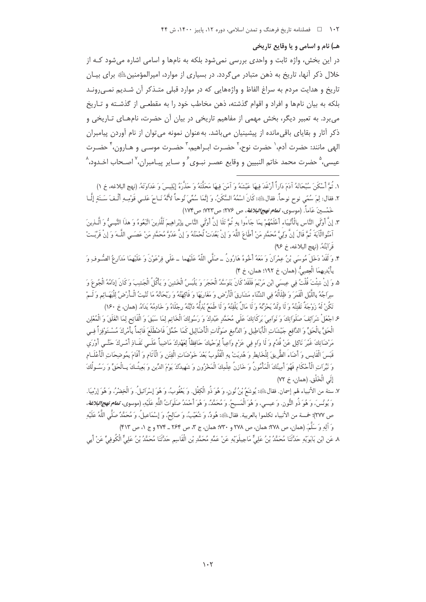#### هـ) نام و اسامي و يا وقايع تاريخي

در این بخش، واژه ثابت و واحدی بررسی نمی شود بلکه به نامها و اسامی اشاره می شود کـه از خلال ذکر آنها، تاریخ به ذهن متبادر می گردد. در بسیاری از موارد، امیرالمؤمنین ﷺ برای بیـان تاریخ و هدایت مردم به سراغ الفاظ و واژههایی که در موارد قبلی متـذکر آن شـدیم نمـی٫رونـد بلکه به بیان نامها و افراد و اقوام گذشته، ذهن مخاطب خود را به مقطعی از گذشـته و تـاریخ می برد. به تعبیر دیگر، بخش مهمی از مفاهیم تاریخی در بیان آن حضرت، نامهـای تـاریخی و ذکر آثار و بقایای باقی مانده از پیشینیان می باشد. به عنوان نمونه می توان از نام آوردن پیامبران الهي مانند: حضرت آدم،` حضرت نوح،` حضـرت ابـراهيم،`` حضـرت موسـى و هـارون، ٔ` حضـرت عيسي، هضرت محمد خاتم النبيين و وقايع عصـر نبـوي ً و سـاير پيـامبران، ٌ اصـحاب اخـدود، ُ

- ١. ثُمَّ أَسْكَنَ سُبْحَانَهُ آدَمَ دَاراً أَرْغَدَ فِيهَا عَيْشَهُ وَ آمَنَ فِيهَا مَحَلَّتَهُ وَ حَذَّرَهُ إِبْلِيسَ وَ عَدَاوَتَهُ. (نبهج البلاغه، خ ١) ٢. فقال: لِمَ سُمِّي نوح نوحاً. فقالﷺ: كَانَ اسْمُهُ السَّكَنُ، وَ إِنَّمَا سُمِّيَ نُوحاً لأَنَّهُ نَـاحَ عَلـي قَوْمِـهِ أَلْـفَ سَـنَةِ إِلَّــا .<br>خَمْسِينَ عَاماً. (موسوى، **تم***ام نهج البلاغة***،** ص ٢٧۶؛ ص ٧٢٣؛ ص ١٧٢]
- ٣. إِنَّ أَوْلَى النَّاسِ بِالْأَنْبِيَاء أَعْلَمُهُمْ بِمَا جَاءُوا بِهِ ثُمَّ تَلَا إِنَّ أَوْلَى النَّاسِ بِإِبْراهِيمَ لَلَّذِينَ اتَّبَعُوهُ وَ هذا النَّبِـيُّ وَ الَّـذِينَ آمَنُواالْآيَةَ ثُمَّ قَالَ إِنَّ وَلَىَّ مُحَمَّدٍ مَنْ أَطَاعَ اللَّهَ وَ إِنْ بَعُدَتْ لُحْمَتُهُ وَ إِنَّ عَدُوَّ مُحَمَّدٍ مَنْ عَصَـى اللَّــهَ وَ إِنْ قَرْبَـتْ قَرَ ابَتُهُ. (نهج البلاغه، خ ٩۶)
- ۴. وَ لَقَدْ دَخَلَ مُوسَى بْنُ عِمْرَانَ وَ مَعَهُ أَخُوهُ هَارُونُ \_صَلَّى اللَّهُ عَلَيْهِما \_عَلَى فرْعَوْنَ وَ عَلَيْهِمَا مَدَارِعُ الصُّوفِ وَ بِأَيْدِيهِمَا الْعِصِيُّ. (همان، خ ١٩٢؛ همان، خ ۴)
- ۵. وَ إِنْ شِئْتَ قُلْتُ فِي عِيسَى ابْنِ مَرْيَمَ فَلَقَدْ كَانَ يَتَوَسَّدُ الْحَجَرَ وَ يَلْبَسُ الْخَشِنَ وَ يَأْكُلُ الْجَشِبَ وَكَانَ إِدَامُهُ الْجُوعَ وَ سِرَاجُهُ بِاللَّيْلِ الْقَمَرَ وَ ظِلَالُهُ فِي الشِّتَاءِ مَشَارِقَ الْأَرْضِ وَ مَغَارِبَهَا وَ فَاكِهَتُهُ وَ رَيْحَانُهُ مَا تُنْبِتُ الْأَرْضُ لِلْبَهَـائِمِ وَ لَـمْ تَكُنْ لَهُ زَوْجَةٌ تَفْتِنُهُ وَ لَا وَلَدٌ يَحْزُنُهُ وَ لَا مَالٌ يَلْفِتُهُ وَ لَا طَمَعٌ يُذلِّهُ داَبَّتُهُ رِجْلَاهُ وَ خَادِمُهُ يَدَاهُ. (همان، خ ١۶٠)
- ع اجْعَلْ شَرَائِفَ صَلَوَاتِكَ وَ نَوَامِيَ بَرِكَاتِكَ عَلَى مُحَمَّدِ عَبْدِكَ وَ رَسُولِكَ الْخَاتِمِ لِمَا سَبَقَ وَ الْفَاتِحِ لِمَا انْغَلَقَ وَ الْمُعْلِنِ الْحَقَّ بِالْحَقِّ وَ الدَّافِعِ جَيْشَاتِ الْأَبَاطِيلِ وَ الدَّامِغِ صَوْلَاتِ الْأَضَالِيلِ كَمَا حُمِّلَ فَاضْطَلَعَ قَائِماً بِأَمْرِكَ مُسْتَوْفِزاً فِمِي مَرْضَاتِكَ غَيْرَ نَاكِلٍ عَنْ قُدُمٍ وَ لَا وَاهٍ فِي عَزْمٍ وَاعِياً لِوَحْيِكَ حَافِظاً لِعَهْدِكَ مَاضِياً عَلَــى نَفَـاذِ أَمْــرِكَ حَتَّــى أَوْرَى قَبَسَ الْقَابِسِ وَ أَضَاءُ الطَّرِيقَ لِلْخَابِطِ وَ هُدِيَتْ بِهِ الْقُلُوبُ بَعْدَ خَوْضَاتِ الْفِتن وَ الْآثامِ وَ أَقَامَ بِمُوضِحَاتِ الْأَعْلَـامِ وَ نَيِّرَاتِ الْأَحْكَامِ فَهُوَ أَمِينُكَ الْمَأْمُونُ وَ خَازِنُ عِلْمِكَ الْمَخْزُونِ وَ شَهِيدُكَ يَوْمَ الدِّينِ وَ بَعِيثُـكَ بِـالْحَقِّ وَ رَسُـولُكَ إِلَى الْخَلْقِ. (همان، خ ٧٢)
- ٧. ستة من الأنبياء لهم إسمان. فقالﷺ: يُوشَعُ بْنُ نُونٍ، وَ هُوَ ذُو الْكِفْلِ. وَ يَعْقُوبُ، وَ هُوَ إيسْرائيلُ. وَ الْخِضْرُ، وَ هُوَ إِرْمِيَا. وَ يُونُسَ، وَ هُوَ ذُو النُّونِ. وَ عيسى، وَ هُوَ الْمَسِيحُ. وَ مُحَمَّدُ، وَ هُوَ أَحْمَدُ صَلَواتُ اللَّه عَلَيْه، (موسوي، تع*ام نهج البلاغة*، ص ٢٧٧): خمسة من الأنبياء تكلموا بالعربية. فقالﷺ: هُودٌ، وَ شُعَيْبُ، وَ صَالِحٌ، وَ إِسْمَاعِيلُ، وَ مُحَمَّدٌ صَلَّى اللَّهُ عَلَيْهِ وَ آله وَ سَلَّهَ. (همان، ص ٢٧٨؛ همان، ص ٢٧٨ و ٣٣٠؛ همان، ج ٣، ص ٢۶۴ ـ ٢٧۴ و ج ١، ص ٣١٣)

٨. عَنِ إِنْ بِإِيوَيْهِ حَدَّثَنَا مُحَمَّدُ بْنُ عَلَيٍّ مَاجِيلَوَيْهِ عَنْ عَمِّه مُحَمَّد يْنِ الْقَاسم حَدَّثَنَا مُحَمَّدُ بْنُ عَليٍّ الْكُوفِيِّ عَنْ أَبِي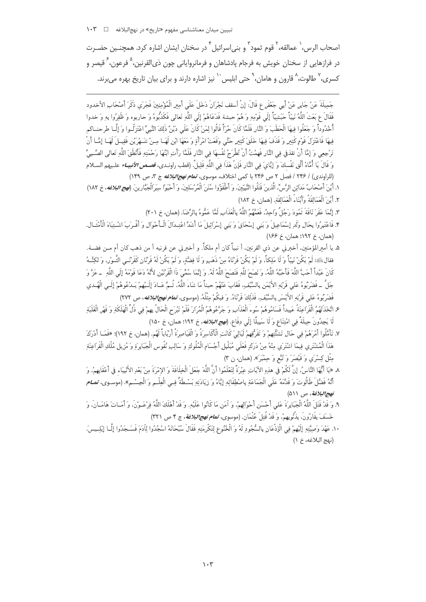اصحاب الرس، ` عمالقه، ` قوم ثمود ّ و بنے اسرائیل ٔ در سخنان ایشان اشاره کرد. همچنـین حضـرت در فرازهایی از سخنان خویش به فرجام یادشاهان و فرمانروایانی چون ذی|لقرنین، ْ فرعون، ٔ قیصر و کسری، <sup>۷</sup> طالوت، <sup>۵</sup> قارون و هامان، <sup>۹</sup> حتی ابلیس<sup>۰۰</sup> نیز اشاره دارند و برای بیان تاریخ بهره می برند.

جَمِيلَةَ عَنْ جَابِرٍ عَنْ أَبِي جَعْفَرٍ ع قَالَ: إِنْ أَسقف نَجْرَانَ دَخَلَ عَلَى أَمِيرِ الْمُؤْمِنِينَ فَجَرَى ذَكَرَ أَصْحَابِ الأخدود فَقَالَ عِ بَعَثَ اللَّهُ نَبِيًّا حَبَشِيًّا إِلَى قَوْمِهِ وَ هُمْ حبشة فَدَعَاهُمْ إِلَى اللَّهِ تَعالى فكَذْبُوهُ وَ حاربوه وَ ظَفِرُوا بِهِ وَ خدوا أَخْدُوداً وَ جَعَلُوا فِيهَا الْحَطَبَ وَ النَّارِ فَلَمَّا كَانَ حُرّاً قَالُوا لِمَنْ كَانَ عَلَى دَيْنُ ذَلِكَ النَّبِيِّ اعْتَزَلُـوا وَ إِلَّـا طرحنــاكم فِيهَا فَاعْتَزِلَ قَوْمٍ كَثِيرٍ وَ قَذَفَ فِيهَا خَلَقَ كَثِيرٍ حَتَّى وَقَعَتْ امْرَأَةٍ وَ مَعَهَا ابْنِ لَهَـا مِـنْ شَـهْرَيْنِ فَقِيـلَ لَهَـا إِمَّـا أَنْ تَرْجِعِي وَ إِمَّا أَنْ تقذفي فِي النَّارِ فَهِمْتُ أَنْ تُطْرَحُ نَفْسِهَا فِي النَّارِ فَلَمَّا رَأَتِ ابْنُهَا رَحْمَتِهِ فَأَنْطَقَ اللَّهِ تَعالى الصَّـبِيِّ وَ قَالَ يَا أُمَّاهْ أَلْقِ نَفْسكَ وَ إِيَّايَ فِي النَّارِ فَإِنْ هَذَا فِي اللَّهِ قَلِيلٌ. (قطب راونـدي، *قصـص الأنبيـاء* علـيهم السـلام .<br>(للراوندي) / ۲۴۶ / فصل ۲ ص ۲۴۶ با كمي اختلاف، موسوى، *تم<i>ام نهج البلاغه* ج ۳، ص ۱۴۹)

- ١. أَيْنَ أَصْحَابُ مَدَائِنِ الرَّسِّ، الَّذينَ قَتَلُوا النَّبِيِّينَ، وَ أَطْفَؤُوا سُنَنَ الْمُرْسَلينَ، وَ أَحْيَوْا سِيَرَالْجَبَّارِينَ. (مُهج *البلاغه*، خ ١٨٢) ٢. أَيْنَ الْعَمَالِقَةُ وَأَبْنَاءُ الْعَمَالِقَةِ. (همان، خ ١٨٢)
	- ٣. إِنَّمَا عَقَرَ نَاقَةَ ثَمُودَ رَجُلٌ وَاحِدٌ، فَعَمَّهُمُ اللَّهُ بِالْعَذَابِ لَمَّا عَمُّوهُ بِالرِّضَا. (همان، خ ٢٠١)
- ۴. فَاعْتَبِرُوا بِحَالِ وَلَدِ إِسْمَاعِيلَ وَ بَنِي إِسْحَاقٍ وَ بَنِي إِسْرَائِيلَ مَا أَشَدَّ اعْتِدالَ الْأحْوَالِ وَ أَقْـرَبَ اشْـتِبَاهَ الْأَمْتَـالِ. (همان، خ ١٩٢؛ همان، خ ١۶۶)
- ۵. يا أميرالمؤمنين، أخبرني عن ذي القرنين، أ نبياً كان أم ملكاً. و أخبرني عن قرنيه أ من ذهب كان أم مــن فضــة. فقالﷺ: لَمْ يَكُنْ نَبِيًّا وَ لَا مَلِكاً، وَ لَمْ يَكُنْ قَرْنَاهُ مِنْ ذَهَبٍ وَ لَا فِضَّةٍ، وَ لَمْ يَكُنْ لَهُ قَرْنَانِ كَقَرْنَــى الثَّـوْرِ، وَ لكِنَّـهُ كَانَ عَبْداً أَحَبَّ اللَّهَ فَأَحَبَّهُ اللَّهُ، وَ نَصَحَ للَّهِ فَنَصَحَ اللَّهُ لَهُ. وَ إِنَّمَا سُمِّيَ ذَا الْقَرْنَيْنِ لأَنَّهُ دَعَا قَوْمَهُ إِلَى اللَّهِ \_ عَزَّ وَ \_ جَلَّ \_ فَضَرَبُوهُ عَلى قَرْنِهِ الأَيْمَنِ بِالسَّيْفِ، فَغَابَ عَنْهُمْ حيناً مَا شَاءَ اللَّهُ، ثُمَّ عَـادَ إلَـيْهِمْ يَـدْعُوهُمْ إِلَـى الْهُـدى .<br>فَضَرَبُوهُ عَلى قَرْنِهِ الأَيْسَرِ بِالسَّيْفِ، فَذَلِكَ قَرْنَاهُ. وَ فيكُمْ مِثْلُهُ. (موسوى، ت**م***ام نهج/لبلاغه، ص ٢٧٢)*
- ع اتَّخَذَتْهُمُ الْفَرَاعِنَةُ عَبِيداً فَسَامُوهُمْ سُوءَ الْعَذَابِ وَ جَرَّعُوهُمُ الْمُرَارَ فَلَمْ تَبْرَح الْحَالُ بِهِمْ فِي ذُلِّ الْهَلَكَةِ وَ قَهْرِ الْغَلَبَةِ لَا يَجِدُونَ حِيلَةً فِي امْتِنَاعٍ وَ لَا سَبِيلًا إِلَى دِفَاعٍ. (*فهج البلاغه*، خ ١٩٢؛ همان، خ ١۵٠)
- ٧. تَأَمَّلُوا أَمْرَهُمْ فِي حَالِ تَشَتُّبِهِمْ وَ تَفَرُّقِهِمْ لَيَالِيَ كَانَتِ الْأَكَاسِرَةُ وَ الْقَيَاصِرَةُ أَرْبَاباً لَهُم. (همان، خ ١٩٢)؛ «فَمَـا أَدْرَكَ هَذَا الْمُشْتَرِي فِيمَا اشْتَرَى مِنْهُ مِنْ دَرَكِ فَعَلَمٍ مُبَلْيِلٍ أَجْسَامِ الْمُلُوكِ وَ سَالِبِ نُفُوس الْجَبَايِرَةِ وَ مُزِيلٍ مُلْكِ الْفَرَاعِنَةِ مِثْلِ كِسْرَى وَ قَيْصَرَ وَ تُبَعِّرٍ وَ حِمْيَرَ». (همان، ن ٣)
- ٨. «يَا أَيُّهَا النَّاسُ، إنَّ لَكُمْ في هذهِ الآيَاتِ عِبْرَةً لِتَعْلَمُوا أَنَّ اللَّهَ جَعَلَ الْخِلَافَةَ وَ الإمْرَةَ مِنْ بَعْدِ الأَنْبِيَاءِ في أَعْقَابِهِمْ، وَ أَنَّهُ فَضَّلَ طَالُوتَ وَ قَدَّمَهُ عَلَى الْجَمَاعَةِ بِاصْطِفَائِهِ إِيَّاهُ وَ زِيَادَتِهِ بَسْطَةً فِـي الْعِلْـمِ وَ الْجِسْـمِ». (موسـوي، تم*ــام* نهج البلاغة، ص ٥١١)
- ٩. وَ قَدْ قَتَلَ اللَّهُ الْجَبَابِرَةَ عَلى أَحْسَنِ أَحْوَالِهِمْ، وَ آمَنِ مَا كَانُوا عَلَيْهِ. وَ قَدْ أَهْلَكَ اللَّهُ فِرْعَـوْنَ، وَ أَمَـاتَ هَامَـانَ، وَ خَسَفَ بِقَارُونَ، بِذُنُوبِهِمْ، وَ قَدْ قُتِلَ عُثْمَان. (موسوى، تم*ام نهج!لبلاغة*، ج ۴ ص ٣٢١)
- ١٠. عَهْدَ وَصِيَّتِهِ الَّيْهِمْ فِي الْلِذْعَانِ بِالسُّجُودِ لَهُ وَ الْخُنُوعِ لِتَكْرِمَتِهِ فَقَالَ سُبْحَانَهُ اسْجُدُوا لِآدَمَ فَسَـجَدُوا الِّب ابْلِيسَ. (نهج البلاغه، خ ١)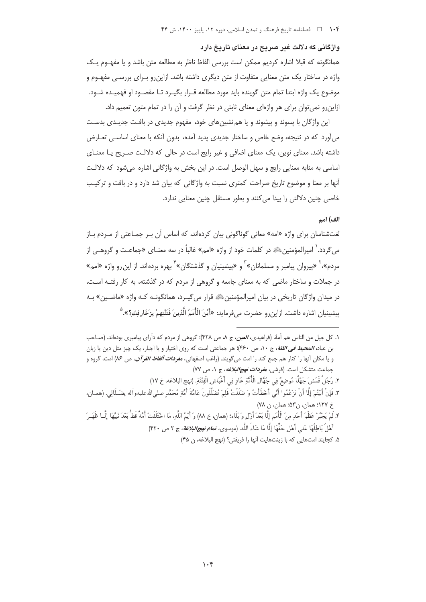واژگانی که دلالت غیر صریح در معنای تاریخ دارد

همانگونه که قبلا اشاره کردیم ممکن است بررسی الفاظ ناظر به مطالعه متن باشد و یا مفهـوم یـک واژه در ساختار یک متن معنایی متفاوت از متن دیگری داشته باشد. ازاین٫رو بـرای بررسـی مفهـوم و موضوع یک واژه ابتدا تمام متن گوینده باید مورد مطالعه قـرار بگیـرد تـا مقصـود او فهمیـده شـود. ازاین رو نمی توان برای هر واژهای معنای ثابتی در نظر گرفت و آن را در تمام متون تعمیم داد.

این واژگان با پسوند و پیشوند و یا هم نشینهای خود، مفهوم جدیدی در بافت جدیـدی بدسـت میآورد که در نتیجه، وضع خاص و ساختار جدیدی پدید آمده، بدون آنکه با معنای اساسـی تعــارض داشته باشد. معنای نوین، یک معنای اضافی و غیر رایج است در حالی که دلالـت صـریح یـا معنــای اساسی به مثابه معنایی رایج و سهل الوصل است. در این بخش به واژگانی اشاره می شود که دلالـت آنها بر معنا و موضوع تاریخ صراحت کمتری نسبت به واژگانی که بیان شد دارد و در بافت و ترکیب خاصی چنین دلالتی را پیدا میکنند و بطور مستقل چنین معنایی ندارد.

#### الف) امم

لغتشناسان برای واژه «امه» معانی گوناگونی بیان کردهاند، که اساس آن بـر جمـاعتی از مـردم بـاز مي گردد. ٰ اميرالمؤمنين ﷺ در كلمات خود از واژه «امم» غالباً در سه معنـاي «جماعـت و گروهــي از مردم»،<sup>۲</sup> «پیروان پیامبر و مسلمانان»<sup>۳</sup> و «پیشینیان و گذشتگان»<sup>۴</sup> بهره بردهاند. از این رو واژه «امم» در جملات و ساختار ماضی که به معنای جامعه و گروهی از مردم که در گذشته، به کار رفتـه اسـت، در میدان واژگان تاریخی در بیان امپرالمؤمنین ﷺ قرار می گیـرد، همانگونـه کـه واژه «ماضـین» بـه يبشينيان إشاره داشت. إزاين و حضرت مرفرمايد: «أَنْنَ الْأُمَمُ الَّذِينَ فَتَنْتِهِمْ يزَخَارِ فِك؟».

۱. كل جيل من الناس هم أمهٔ. (فراهيدي، *العين*، ج ٨، ص ۴۲۸)؛ گروهي از مردم كه داّراي پيامبري بودهاند. (صـاحب بن عباد، *المحیط فی اللغة*، ج ۱۰، ص ۴۶۰)؛ هر جماعتی است که روی اختیار و یا اجبار، یک چیز مثل دین یا زبان و يا مكان آنها را كنار هم جمع كند را امت مى گويند. (راغب اصفهانى، *مفرد<i>ات ألفاظ القو آن، ص ١***٨۶)** امت، گروه و جماعت متشکل است. (قرشی، *مفرد<i>ات نهج البلاغه***،** ج ۰، ص ۷۷)

٢. رَجُلٌ قَمَشَ جَهْلًا مُوضِعٌ فِي جُهَّالِ الْأُمَّةِ عَادِ فِي أَغْبَاشِ الْفِتْنَةِ. (نهج البلاغه، خ ١٧)

- ٣. فَإِنْ أَبَيْتُمْ إِلَّا أَنْ تَزْعُمُوا أَنِّي أَخْطَأْتُ وَ ضَلَلْتُ فَلِمَ تُضَلِّلُونَ عَامَّةَ أُمَّةٍ مُحَمَّدٍ صلىالله عليهوآله بضَـلَالِي. (همـان، خ ١٢٧؛ همان، ن٥٣» همان، ن ٧٨)
- ۴. لَمْ يَجْبُرْ عَظْمَ أَحَدٍ مِنَ الْأُمَمِ إِلَّا بَعْدَ أَزْلِ وَ بَلَاء؛ (همان، خ ٨٨) وَ أَيْمُ اللَّهِ، مَا اخْتَلَفَتْ أُمَّةٌ قَطُّ بَعْدَ نَبِيُّهَا إِلَّــا ظَهَـرَ أَهْلُ بَاطِلُهَا عَلى أَهْلِ حَقِّهَا إِلَّا مَا شَاء<sup>َ</sup> اللَّه. (موسوى، *تمام نهج!لبلاغة***،** ج ٢ ص ۴۲۰)
	- ۵. كجايند امتهايي كه با زينتهايت آنها را فريفتي؟ (نهج البلاغه، ن ۴۵)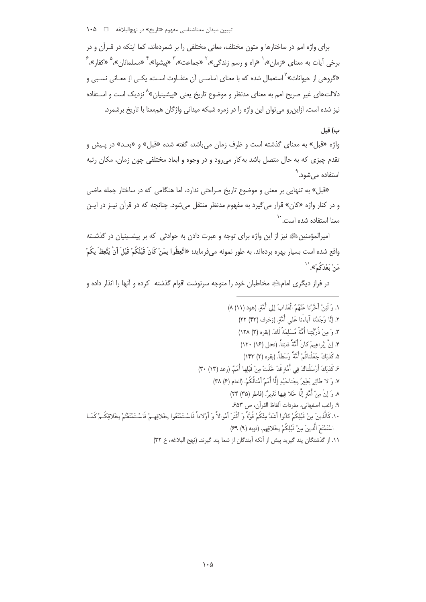برای واژه امم در ساختارها و متون مختلف، معانی مختلفی را بر شمردهاند، کما اینکه در قــرآن و در برخی آیات به معنای «زمان»،` «راه و رسم زندگی»،<sup>۲</sup> «جماعت»، ۳ «پیشوا»، ۴ «مسلمانا<sub>ن</sub>»، <sup>۵</sup> «کفار»، <sup>۶</sup> «گروهی از حیوانات»<sup>۷</sup> استعمال شده که با معنای اساسـی آن متفـاوت اسـت، یکـی از معـانی نسـبی و دلالتـهای غیر صریح امم به معنای مدنظر و موضوع تاریخ یعنی «پیشینیان»<sup>۸</sup> نزدیک است و اسـتفاده .<br>نیز شده است. ازاین٫و می توان این واژه ٫ا در زمره شبکه میدانی واژگان هم٬معنا با تاریخ برشمرد.

### ب) قىل

واژه «قبل» به معنای گذشته است و ظرف زمان می باشد، گفته شده «قبل» و «بعـد» در پـیش و تقدم چیزی که به حال متصل باشد به کار میرود و در وجوه و ابعاد مختلفی چون زمان، مکان رتبه استفاده میشود.<sup>۳</sup>

«قبل» به تنهایی بر معنی و موضوع تاریخ صراحتی ندارد، اما هنگامی که در ساختار جمله ماضی و در کنار واژه «کان» قرار میگیرد به مفهوم مدنظر منتقل میشود. چنانچه که در قرآن نیـز در ایـن معنا استفاده شده است.<sup>۱۰</sup>

امپرالمؤمنین ﷺ نیز از این واژه برای توجه و عبرت دادن به حوادثی که بر پیشـینیان در گذشـته واقع شده است بسيار بهره بردهاند. به طور نمونه ميفرمايد: «اتَّعِظُوا بِمَنْ كَانَ قَبْلَكُمْ قَبْلَ أنْ يَتَّعِظَ بِكُمْ مَنْ بَعْدَكُمْ».''

در فراز دیگری امامﷺ مخاطبان خود را متوجه سرنوشت اقوام گذشته کرده و آنها را انذار داده و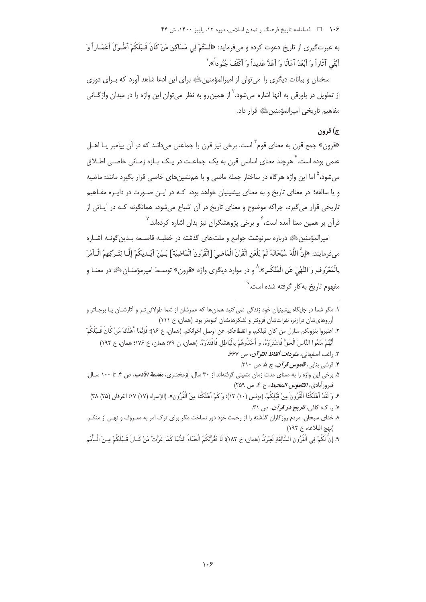۱۰۶ هـ المصلنامه تاریخ فرهنگ و تمدن اسلامی، دوره ۱۲، پاییز ۱۴۰۰، ش ۴۴

به عبرتگیری از تاریخ دعوت کرده و میفرماید: «الَسْتُمْ فِی مَسَاکِنِ مَنْ کَانَ قَـبْلَکُمْ أَطْـولَ أَعْمَـاراً وَ أَبْقَى آثَاراً وَ أَبْعَدَ آمَالًا وَ أَعَدَّ عَدِيداً وَ أَكْثَفَ جُنُو داً». ٰ

سخنان و بیانات دیگری را می توان از امپرالمؤمنین ﷺ برای این ادعا شاهد آورد که بـرای دوری از تطویل در یاورقی به آنها اشاره می شود. <sup>۲</sup> از همین رو به نظر می توان این واژه را در میدان واژگــانی مفاهيم تاريخي اميرالمؤمنين ﷺ قرار داد.

## ج) قرون

«قرون» جمع قرن به معنای قوم<sup>۲</sup> است. برخی نیز قرن را جماعتی میدانند که در آن پیامبر یـا اهــل علمی بوده است. ٔ هرچند معنای اساسی قرن به یک جماعـت در یـک بـازه زمـانی خاصـی اطـلاق می شود، <sup>۹</sup> اما این واژه هر گاه در ساختار جمله ماضی و با هم نشین های خاصی قرار بگیرد مانند: ماضیه و یا سالفه؛ در معنای تاریخ و به معنای پیشینیان خواهد بود، کـه در ایـن صـورت در دایـره مفـاهیم تاریخی قرار میگیرد، چراکه موضوع و معنای تاریخ در آن اشباع میشود، همانگونه کـه در آیـاتی از قرآن بر همین معنا آمده است، <sup>۶</sup> و برخی پژوهشگران نیز بدان اشاره کردهاند. <sup>۷</sup>

امیرالمؤمنین ﷺ درباره سرنوشت جوامع و ملتهای گذشته در خطبـه قاصـعه بـدین گونـه اشـاره مِ فِرمايند: «إِنَّ اللَّهَ سُبْحَانَهُ لَمْ يَلْعَنِ الْقَرْنَ الْمَاضِيَ [الْقُرُونَ الْمَاضِيَة] بَـيْنَ أيْـديكُمْ إِلَّـا لِتَـرِكِهِمُ الْـأَمْرَ بِالْمَعْرُوفِ وَ النَّهْيَ عَنِ الْمُنْكَـرِ». ٛ و در موارد دیگری واژه «قرون» توسط امیرمؤمنــانﷺ در معنــا و مفهوم تاریخ به کار گرفته شده است.<sup>۹</sup>

- ٢. اعتبروا بنزولكم منازل من كان قبلكم، و انقطاعكم عن اوصل اخوانكم. (همان، خ ١۶)؛ فَإِنَّمَا أَهْلَكَ مَنْ كَانَ قَـبْلَكُمْ أَنَّهُمْ مَنَعُوا النَّاسَ الْحَقَّ فَاشْتَرَوْهُ، وَ أَخَذُوهُمْ بِالْبَاطِلِ فَاقْتَدَوْهُ. (همان، ن ٩٩؛ همان، خ ١٧۶؛ همان، خ ١٩٢)
	- ٣. راغب اصفهاني، م*فودات ألفاظ القو آن*، ص ۶۶۷.
		- ۴. قرشی بنایی، ق*اموس قر آن*، ج ۵، ص ۳۱۰.
- ۵. برخی این واژه را به معنای مدت زمان متعینی گرفتهاند از ۳۰ سال، )زمخشری، *مقدمة الأدب، ص* ۴. تا ۱۰۰ سـال، فيروزآبادي، *القاموس المحيط*، ج ۴، ص ٢۵٩)
- ع وَ لَقَدْ أَهْلَكْنَا الْقُرُونَ مِنْ قَبْلِكُمْ. (يونس (١٠) ١٣)؛ وَكَمْ أَهْلَكْنا مِنَ الْقُرُونِ». (الإسراء (١٧) ١٧؛ الفرقان (٢۵) ٣٨) ۷. ٫. ک: کافي، *تاويخ دو قو آن*، ص ۳۱.
- ۸. خدای سبحان، مردم روزگاران گذشته را از رحمت خود دور نساخت مگر برای ترک امر به معـروف و نهـی از منکـر. (نهج البلاغه، خ ١٩٢)
- ٩. إِنَّ لَكُمْ فِي الْقُرُونِ السَّالِفَةِ لَعِبْرَةً. (همان، خ ١٨٢)؛ لَا تَغُرَّكُمُ الْحَيَاةُ الدُّنّيَا كَمَا غَرَّتْ مَنْ كَـانَ قَـبْلَكُمْ مِـنَ الْــأُمَمِ

۱. مگر شما در جایگاه پیشینیان خود زندگی نمی کنید همان ها که عمرشان از شما طولانی تـر و آثارشـان یـا برجـاتر و آرزوهای شان درازتر، نفراتشان فزونتر و لشکرهایشان انبوهتر بود. (همان، خ ١١١)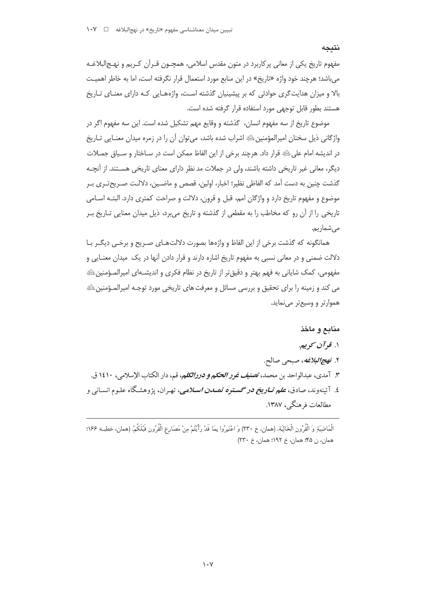#### نتىجە

مفهوم تاریخ یکی از معانی پرکاربرد در متون مقدس اسلامی، همچــون قــراّن کــریم و نهــج|لبلاغــه میباشد؛ هرچند خود واژه «تاریخ» در این منابع مورد استعمال قرار نگرفته است، اما به خاطر اهمیت بالا و میزان هدایت گری حوادثی که بر پیشینیان گذشته است، واژههـایی کـه دارای معنـای تـاریخ هستند بطور قابل توجهي مورد استفاده قرار كرفته شده است.

موضوع تاريخ از سه مفهوم انسان، گذشته و وقايع مهم تشكيل شده است. اين سه مفهوم اگر در واژگانی ذیل سخنان امپرالمؤمنین ﷺ اشراب شده باشد، می توان آن را در زمره میدان معنـایی تـاریخ در اندیشه امام علیﷺ قرار داد. هرچند برخی از این الفاظ ممکن است در سـاختار و سـیاق جمـلات دیگر، معانی غیر تاریخی داشته باشند، ولی در جملات مد نظر دارای معنای تاریخی هسـتند. از آنچــه گذشت چنین به دست آمد که الفاظی نظیر؛ اخبار، اولین، قصص و ماضـین، دلالـت صـریح-تـری بـر موضوع و مفهوم تاریخ دارد و واژگان امم، قبل و قرون، دلالت و صراحت کمتری دارد. البتـه اسـامی تاریخی را از آن رو که مخاطب را به مقطعی از گذشته و تاریخ می برد، ذیل میدان معنایی تــاریخ بــر مے شماریم.

همانگونه که گذشت برخی از این الفاظ و واژهها بصورت دلالتهـای صـریح و برخـی دیگـر بـا دلالت ضمنی و در معانی نسبی به مفهوم تاریخ اشاره دارند و قرار دادن آنها در یک میدان معنــایی و مفهومی، کمک شایانی به فهم بهتر و دقیق تر از تاریخ در نظام فکری و اندیشـهای امیرالمـؤمنین ﷺ می کند و زمینه را برای تحقیق و بررسی مسائل و معرفت های تاریخی مورد توجـه امیرالمـؤمنینﷺ هموارتر و وسیعتر می نماید.

# منابع و ماخذ

- ۱. قو آن کوييږ
- ۲. *نهج البلاغه*، صبحي صالح.
- ٣. آمدي، عبدالواحد بن محمد، ت*صنيف غور الحكم و دررالكلم، قم*، دار الكتاب الإسلامي ، ١٤١٠ ق.
- ٤. آئينهوند، صادق، **ع***لم تــاريخ در گســتره تمـــدن اســلامي،* **ت**هـران، يژوهشـگاه علـوم انســاني و مطالعات فرهنگی، ۱۳۸۷.

الْمَاضِيَةِ وَ الْقُرُونِ الْخَالِيَة. (همان، خ ٢٣٠) وَ اعْتَبِرُوا بِمَا قَدْ رَأَيْتُمْ مِنْ مَصَارعِ الْقُرُونِ قَبْلَكُمْ. (همان، خطبـه ١۶۶؛ همان، ن ۴۵؛ همان، خ ۱۹۲؛ همان، خ ۲۳۰)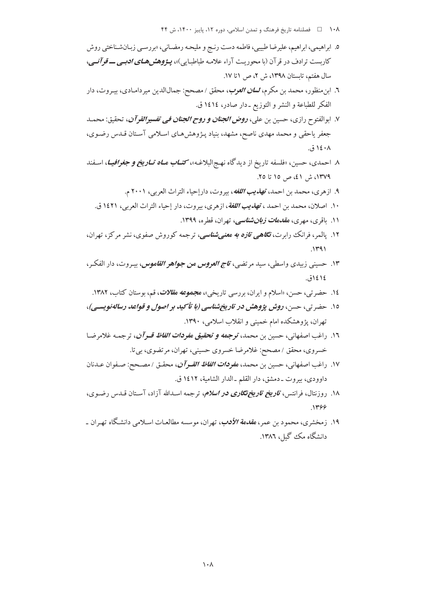- ۱۰۸ هـ استامه تاريخ فرهنگ و تمدن اسلامي، دوره ۱۲، پاييز ۱۴۰۰، ش ۴۴
- ٥. ابراهيمي، ابراهيم، عليرضا طيبيي، فاطمه دست رنـج و مليحـه رمضـاني، «بررسـي زبـانشـناختي روش کاربست ترادف در قرآن (با محوریت آراء علامه طباطبایی)»، پـژوهش هـای *ادبـی ـــ قوآنــی*، سال هفتم، تابستان ١٣٩٨، ش ٢، ص ١تا ١٧.
- ٦. ابن.منظور، محمد بن مكرم، *لسان العوب*، محقق / مصحح: جمالالدين ميردامـادي، بيـروت، دار الفكر للطباعة و النشر و التوزيع ـ دار صادر، ١٤١٤ ق.
- ٧. ابوالفتوح رازي، حسين بن علي، **ر***وض الجنان و روح الجنان في تفسيرالقرآن***،** تحقيق: محمـد جعفر یاحقی و محمد مهدی ناصح، مشهد، بنیاد پـژوهش۱عـای اسـلامی آسـتان قـدس رضـوی، ۱٤۰۸ ق.
- ۸ احمدي، حسين، «فلسفه تاريخ از ديدگاه نهـجالبلاغـه»، *كتــاب مــاه تــاريخ و جغرافيــا*، اسـفند ۱۳۷۹، ش ٤١، ص ١٥ تا ٢٥.
	- ۹. ازهري، محمد بن احمد، ته*ذيب اللغه*، بيروت، دارإحياء التراث العربي، ۲۰۰۱ م.
	- ۱۰. اصلان، محمد بن احمد ، ته*ذيب اللغة*، ازهري، بيروت، دار إحياء التراث العربي، ۱٤٢١ ق.
		- ۱۱. باقری، مهری، *مقدمات زبانشناسی،* تهران، قطره، ۱۳۹۹.
- ۱۲. یالمر، فرانک رابرت، *نگاهی تازه به معنیشناسی،* ترجمه کوروش صفوی، نشر مرکز، تهران،  $1491$
- ۱۳. حسینی زبیدی واسطی، سید مرتضی، *تاج العروس من جواهر القاموس*، بیـروت، دار الفکـر، ١٤١٤ق.
	- ۱٤. حضرتبي، حسن، «اسلام و ايران، بررسي تاريخي»، م*جموعه مقلات*، قم، بوستان كتاب، ۱۳۸۲.
- ۱۵. حضر تی، حسن، روش پژوهش در تاریخ شناسی (با تأکید بر اصول و قواعد رساله نویسی)، تهران، یژوهشکده امام خمینی و انقلاب اسلامی، ۱۳۹۰.
- ١٦. راغب اصفهاني، حسين بن محمد، **توجهه و تحقيق م***فودات الفاظ قـر آن***،** ترجمـه غلامرضـا خسروي، محقق / مصحح: غلامرضا خسروي حسيني، تهران، مرتضوي، بي تا.
- ١٧. راغب اصفهاني، حسين بن محمد، م*فودات الفاظ القـوآن*، محقـق / مصـحح: صـفوان عـدنان داوودي، بيروت \_دمشق، دار القلم \_الدار الشامية، ١٤١٢ ق.
- ۱۸. روزنتال، فرانتس، *تاریخ تاریختگاری در اسلام، ترجمه اسـدالله آزاد*، آسـتان قــدس رضــوی،  $.1499$
- ۱۹. زمخشری، محمود بن عمر، *مقدمة الأدب*، تهران، موسسه مطالعـات اسـلامی دانشـگاه تهـران ـ دانشگاه مک گیل، ۱۳۸۶.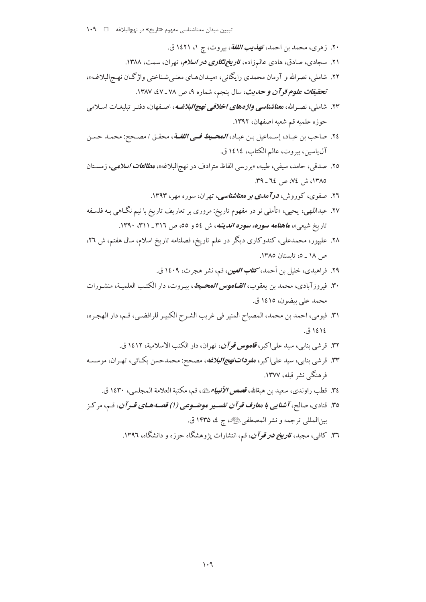- ۲۰. زهري، محمد بن احمد، *تهذيب اللغة*، بيروت، ج ۱، ۱٤۲۱ ق.
- ۲۱. سجادی، صادق، هادی عالمزاده، *تاریختگاری در اسلام، ته*ران، سمت، ۱۳۸۸.
- ۲۲. شاملی، نصرالله و آرمان محمدی رایگانی، «میـدانهـای معنـی شـناختی واژگـان نهـج|لبلاغـه»، تحقيق*ات علوم قرآن و حديث*، سال پنجم، شماره ۹، ص ۷۸ ـ ٤٧، ۱۳۸۷.
- ۲۳. شاملی، نصبه الله، م*عناشناسی واژههای اخلاقی نهج البلاغ*یه، اصلفهان، دفتیر تبلیغیات اسلامی حوزه علميه قم شعبه اصفهان، ١٣٩٢.
- ٢٤. صاحب بن عبـاد، إسـماعيل بـن عبـاد، **المحــي***ط فــى اللغــة***، محقـ**ق / مصـحح: محمــد حسـن آل ياسين، بيروت، عالم الكتاب، ١٤١٤ ق.
- ۲۵. صدقی، حامد، سیفی، طیبه، «بررسی الفاظ مترادف در نهجالبلاغه»، م*طالعات اسلامی*، زمسـتان ١٣٨٥، ش ٧٤، ص ٦٤ ـ ٣٩.
	- ۲٦. صفوی، کوروش، *درآمدی بر معناشناسی*، تهران، سوره مهر، ۱۳۹۳.
- ۲۷. عبداللهی، یحیی، «تأملی نو در مفهوم تاریخ: مروری بر تعاریف تاریخ با نیم نگـاهی بـه فلسـفه تاریخ شیعی»، م*اهنامه سوره، سوره اندیشه*، ش ٥٤ و ٥٥، ص ٣١٦ ـ ٣١١، ١٣٩٠.
- ۲۸. علیپور، محمدعلی، کندوکاری دیگر در علم تاریخ، فصلنامه تاریخ اسلام، سال هفتم، ش ۲۲، ص ١٨ ـ ٥، تايستان ١٣٨٥.
	- ٢٩. فراهيدي، خليل بن أحمد، كت*اب العين*، قم، نشر هجرت، ١٤٠٩ ق.
- ۳۰. فيروز آبادي، محمد بن يعقوب، *القــاموس المحــيط*، بيـروت، دار الكتـب العلميـة، منشـورات محمد علي بيضون، ١٤١٥ ق.
- ٣١. فيومي، احمد بن محمد، المصباح المنير في غريب الشـرح الكبيـر للرافضـي، قـم، دار الهجـره، ١٤١٤ ق.
	- ۳۲. قرشی بنابی، سید علی اکبر، *قاموس قو آن*، تهران، دار الکتب الاسلامیة، ۱۶۱۲ ق.
- ۳۳. قرشي بنابي، سيد علي اكبر، م*فودات نهج البلاغه*، مصحح: محمدحسن بكـائي، تهـران، موسسـه فرهنگ نشر قبله، ۱۳۷۷.
	- ٣٤. قطب راوندي، سعيد بن هيةالله، قصص *الأنبياء ي*شه، قم، مكتبة العلامة المجلسي، ١٤٣٠ ق.
- ۳٥. قنادي، صالح، *آشنايي با معارف قر آن تفس*ير م*وضـوعي (١) قصـه هـاي قـر آن*، قـم، مر كـز بين المللي ترجمه و نشر المصطفى ﷺ، ج ٤، ١۴٣٥ ق.
	- ۳٦. کافی، مجبد، *تاویخ در قوآن*، قیم، انتشارات یژوهشگاه حوزه و دانشگاه، ۱۳۹۲.